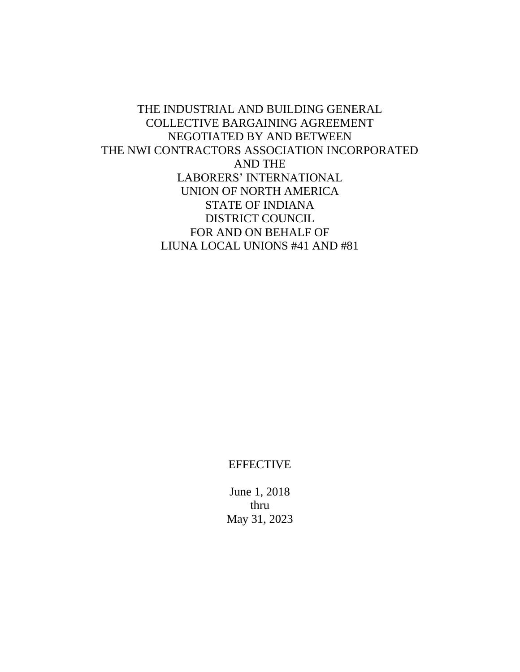THE INDUSTRIAL AND BUILDING GENERAL COLLECTIVE BARGAINING AGREEMENT NEGOTIATED BY AND BETWEEN THE NWI CONTRACTORS ASSOCIATION INCORPORATED AND THE LABORERS' INTERNATIONAL UNION OF NORTH AMERICA STATE OF INDIANA DISTRICT COUNCIL FOR AND ON BEHALF OF LIUNA LOCAL UNIONS #41 AND #81

**EFFECTIVE** 

June 1, 2018 thru May 31, 2023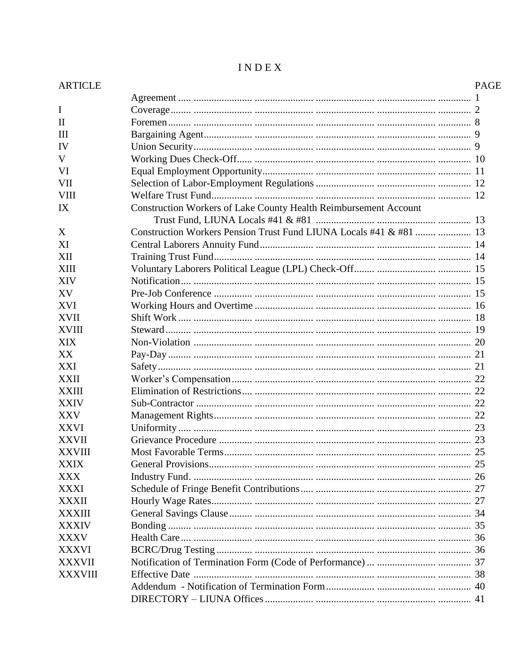| <b>ARTICLE</b> |                                                                     | <b>PAGE</b> |
|----------------|---------------------------------------------------------------------|-------------|
|                |                                                                     |             |
| I              |                                                                     |             |
| $\mathbf{H}$   |                                                                     |             |
| $\mathbf{III}$ |                                                                     |             |
| IV             |                                                                     |             |
| V              |                                                                     |             |
| VI             |                                                                     |             |
| <b>VII</b>     |                                                                     |             |
| <b>VIII</b>    |                                                                     |             |
| IX             | Construction Workers of Lake County Health Reimbursement Account    |             |
|                |                                                                     |             |
| X              | Construction Workers Pension Trust Fund LIUNA Locals #41 & #81   13 |             |
| XI             |                                                                     |             |
| XII            |                                                                     |             |
| <b>XIII</b>    |                                                                     |             |
| <b>XIV</b>     |                                                                     |             |
| XV             |                                                                     |             |
| <b>XVI</b>     |                                                                     |             |
| <b>XVII</b>    |                                                                     |             |
| <b>XVIII</b>   |                                                                     |             |
| <b>XIX</b>     |                                                                     |             |
| XX             |                                                                     |             |
| XXI            |                                                                     |             |
| <b>XXII</b>    |                                                                     |             |
| <b>XXIII</b>   |                                                                     |             |
| <b>XXIV</b>    |                                                                     |             |
| <b>XXV</b>     |                                                                     |             |
| <b>XXVI</b>    |                                                                     |             |
| <b>XXVII</b>   |                                                                     |             |
| <b>XXVIII</b>  |                                                                     |             |
| <b>XXIX</b>    |                                                                     |             |
| <b>XXX</b>     |                                                                     |             |
| <b>XXXI</b>    |                                                                     |             |
| <b>XXXII</b>   |                                                                     |             |
| <b>XXXIII</b>  |                                                                     |             |
| <b>XXXIV</b>   |                                                                     |             |
| <b>XXXV</b>    |                                                                     |             |
| <b>XXXVI</b>   |                                                                     |             |
| <b>XXXVII</b>  |                                                                     |             |
| <b>XXXVIII</b> |                                                                     |             |
|                |                                                                     |             |
|                |                                                                     |             |
|                |                                                                     |             |

# $\textbf{I} \, \textbf{N} \, \textbf{D} \, \textbf{E} \, \textbf{X}$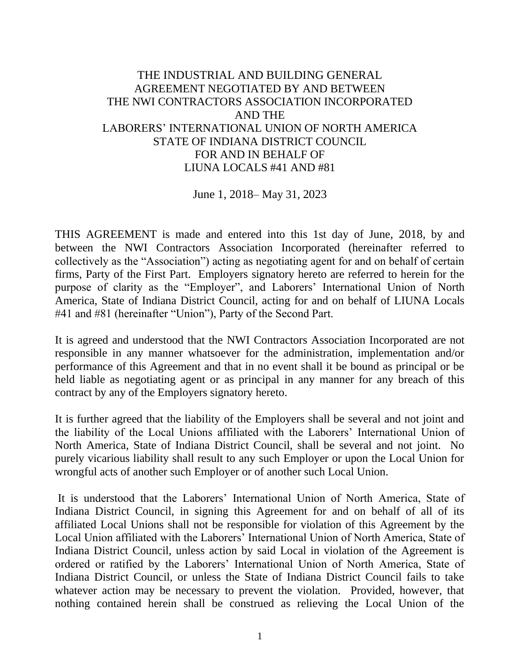# THE INDUSTRIAL AND BUILDING GENERAL AGREEMENT NEGOTIATED BY AND BETWEEN THE NWI CONTRACTORS ASSOCIATION INCORPORATED AND THE LABORERS' INTERNATIONAL UNION OF NORTH AMERICA STATE OF INDIANA DISTRICT COUNCIL FOR AND IN BEHALF OF LIUNA LOCALS #41 AND #81

## June 1, 2018– May 31, 2023

THIS AGREEMENT is made and entered into this 1st day of June, 2018, by and between the NWI Contractors Association Incorporated (hereinafter referred to collectively as the "Association") acting as negotiating agent for and on behalf of certain firms, Party of the First Part. Employers signatory hereto are referred to herein for the purpose of clarity as the "Employer", and Laborers' International Union of North America, State of Indiana District Council, acting for and on behalf of LIUNA Locals #41 and #81 (hereinafter "Union"), Party of the Second Part.

It is agreed and understood that the NWI Contractors Association Incorporated are not responsible in any manner whatsoever for the administration, implementation and/or performance of this Agreement and that in no event shall it be bound as principal or be held liable as negotiating agent or as principal in any manner for any breach of this contract by any of the Employers signatory hereto.

It is further agreed that the liability of the Employers shall be several and not joint and the liability of the Local Unions affiliated with the Laborers' International Union of North America, State of Indiana District Council, shall be several and not joint. No purely vicarious liability shall result to any such Employer or upon the Local Union for wrongful acts of another such Employer or of another such Local Union.

It is understood that the Laborers' International Union of North America, State of Indiana District Council, in signing this Agreement for and on behalf of all of its affiliated Local Unions shall not be responsible for violation of this Agreement by the Local Union affiliated with the Laborers' International Union of North America, State of Indiana District Council, unless action by said Local in violation of the Agreement is ordered or ratified by the Laborers' International Union of North America, State of Indiana District Council, or unless the State of Indiana District Council fails to take whatever action may be necessary to prevent the violation. Provided, however, that nothing contained herein shall be construed as relieving the Local Union of the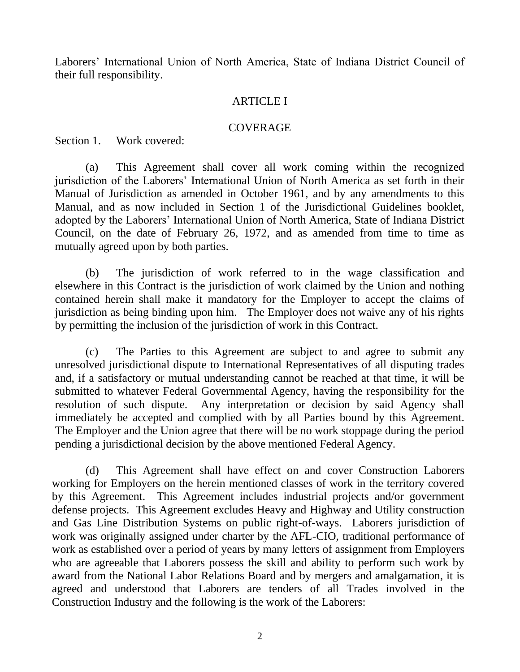Laborers' International Union of North America, State of Indiana District Council of their full responsibility.

## ARTICLE I

## COVERAGE

Section 1. Work covered:

(a) This Agreement shall cover all work coming within the recognized jurisdiction of the Laborers' International Union of North America as set forth in their Manual of Jurisdiction as amended in October 1961, and by any amendments to this Manual, and as now included in Section 1 of the Jurisdictional Guidelines booklet, adopted by the Laborers' International Union of North America, State of Indiana District Council, on the date of February 26, 1972, and as amended from time to time as mutually agreed upon by both parties.

(b) The jurisdiction of work referred to in the wage classification and elsewhere in this Contract is the jurisdiction of work claimed by the Union and nothing contained herein shall make it mandatory for the Employer to accept the claims of jurisdiction as being binding upon him. The Employer does not waive any of his rights by permitting the inclusion of the jurisdiction of work in this Contract.

 (c) The Parties to this Agreement are subject to and agree to submit any unresolved jurisdictional dispute to International Representatives of all disputing trades and, if a satisfactory or mutual understanding cannot be reached at that time, it will be submitted to whatever Federal Governmental Agency, having the responsibility for the resolution of such dispute. Any interpretation or decision by said Agency shall immediately be accepted and complied with by all Parties bound by this Agreement. The Employer and the Union agree that there will be no work stoppage during the period pending a jurisdictional decision by the above mentioned Federal Agency.

(d) This Agreement shall have effect on and cover Construction Laborers working for Employers on the herein mentioned classes of work in the territory covered by this Agreement. This Agreement includes industrial projects and/or government defense projects. This Agreement excludes Heavy and Highway and Utility construction and Gas Line Distribution Systems on public right-of-ways. Laborers jurisdiction of work was originally assigned under charter by the AFL-CIO, traditional performance of work as established over a period of years by many letters of assignment from Employers who are agreeable that Laborers possess the skill and ability to perform such work by award from the National Labor Relations Board and by mergers and amalgamation, it is agreed and understood that Laborers are tenders of all Trades involved in the Construction Industry and the following is the work of the Laborers: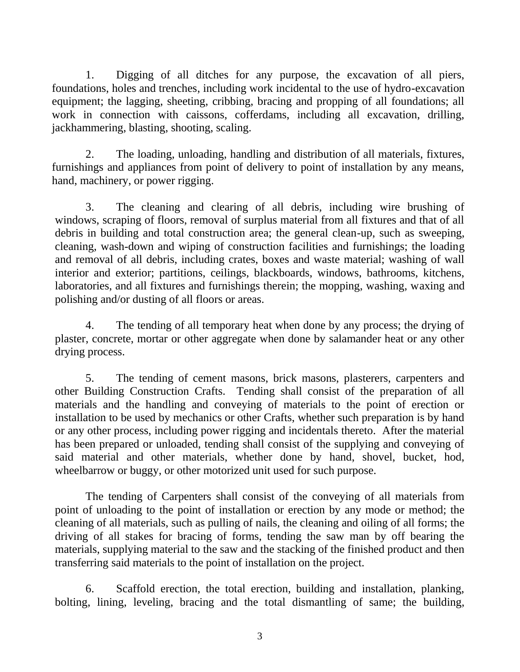1. Digging of all ditches for any purpose, the excavation of all piers, foundations, holes and trenches, including work incidental to the use of hydro-excavation equipment; the lagging, sheeting, cribbing, bracing and propping of all foundations; all work in connection with caissons, cofferdams, including all excavation, drilling, jackhammering, blasting, shooting, scaling.

2. The loading, unloading, handling and distribution of all materials, fixtures, furnishings and appliances from point of delivery to point of installation by any means, hand, machinery, or power rigging.

3. The cleaning and clearing of all debris, including wire brushing of windows, scraping of floors, removal of surplus material from all fixtures and that of all debris in building and total construction area; the general clean-up, such as sweeping, cleaning, wash-down and wiping of construction facilities and furnishings; the loading and removal of all debris, including crates, boxes and waste material; washing of wall interior and exterior; partitions, ceilings, blackboards, windows, bathrooms, kitchens, laboratories, and all fixtures and furnishings therein; the mopping, washing, waxing and polishing and/or dusting of all floors or areas.

4. The tending of all temporary heat when done by any process; the drying of plaster, concrete, mortar or other aggregate when done by salamander heat or any other drying process.

5. The tending of cement masons, brick masons, plasterers, carpenters and other Building Construction Crafts. Tending shall consist of the preparation of all materials and the handling and conveying of materials to the point of erection or installation to be used by mechanics or other Crafts, whether such preparation is by hand or any other process, including power rigging and incidentals thereto. After the material has been prepared or unloaded, tending shall consist of the supplying and conveying of said material and other materials, whether done by hand, shovel, bucket, hod, wheelbarrow or buggy, or other motorized unit used for such purpose.

The tending of Carpenters shall consist of the conveying of all materials from point of unloading to the point of installation or erection by any mode or method; the cleaning of all materials, such as pulling of nails, the cleaning and oiling of all forms; the driving of all stakes for bracing of forms, tending the saw man by off bearing the materials, supplying material to the saw and the stacking of the finished product and then transferring said materials to the point of installation on the project.

6. Scaffold erection, the total erection, building and installation, planking, bolting, lining, leveling, bracing and the total dismantling of same; the building,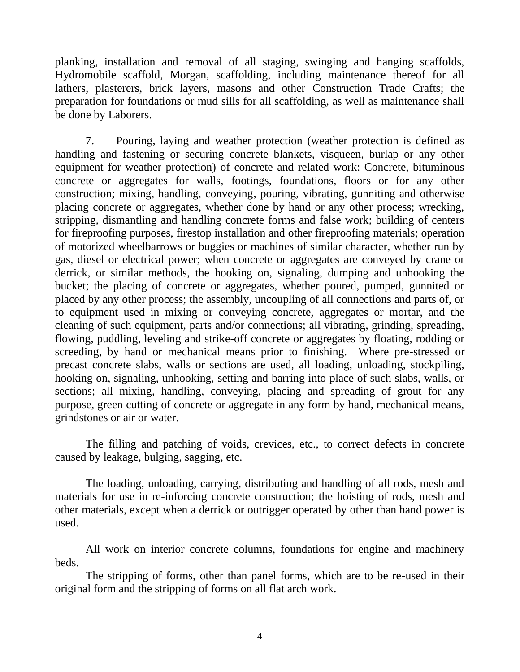planking, installation and removal of all staging, swinging and hanging scaffolds, Hydromobile scaffold, Morgan, scaffolding, including maintenance thereof for all lathers, plasterers, brick layers, masons and other Construction Trade Crafts; the preparation for foundations or mud sills for all scaffolding, as well as maintenance shall be done by Laborers.

7. Pouring, laying and weather protection (weather protection is defined as handling and fastening or securing concrete blankets, visqueen, burlap or any other equipment for weather protection) of concrete and related work: Concrete, bituminous concrete or aggregates for walls, footings, foundations, floors or for any other construction; mixing, handling, conveying, pouring, vibrating, gunniting and otherwise placing concrete or aggregates, whether done by hand or any other process; wrecking, stripping, dismantling and handling concrete forms and false work; building of centers for fireproofing purposes, firestop installation and other fireproofing materials; operation of motorized wheelbarrows or buggies or machines of similar character, whether run by gas, diesel or electrical power; when concrete or aggregates are conveyed by crane or derrick, or similar methods, the hooking on, signaling, dumping and unhooking the bucket; the placing of concrete or aggregates, whether poured, pumped, gunnited or placed by any other process; the assembly, uncoupling of all connections and parts of, or to equipment used in mixing or conveying concrete, aggregates or mortar, and the cleaning of such equipment, parts and/or connections; all vibrating, grinding, spreading, flowing, puddling, leveling and strike-off concrete or aggregates by floating, rodding or screeding, by hand or mechanical means prior to finishing. Where pre-stressed or precast concrete slabs, walls or sections are used, all loading, unloading, stockpiling, hooking on, signaling, unhooking, setting and barring into place of such slabs, walls, or sections; all mixing, handling, conveying, placing and spreading of grout for any purpose, green cutting of concrete or aggregate in any form by hand, mechanical means, grindstones or air or water.

The filling and patching of voids, crevices, etc., to correct defects in concrete caused by leakage, bulging, sagging, etc.

The loading, unloading, carrying, distributing and handling of all rods, mesh and materials for use in re-inforcing concrete construction; the hoisting of rods, mesh and other materials, except when a derrick or outrigger operated by other than hand power is used.

All work on interior concrete columns, foundations for engine and machinery beds.

The stripping of forms, other than panel forms, which are to be re-used in their original form and the stripping of forms on all flat arch work.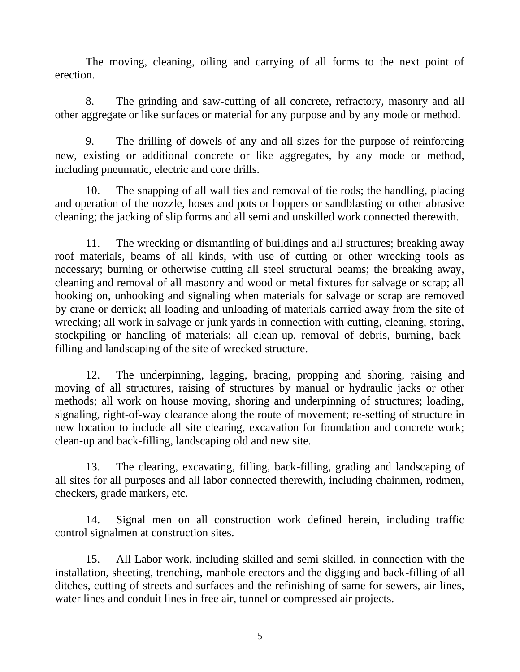The moving, cleaning, oiling and carrying of all forms to the next point of erection.

8. The grinding and saw-cutting of all concrete, refractory, masonry and all other aggregate or like surfaces or material for any purpose and by any mode or method.

9. The drilling of dowels of any and all sizes for the purpose of reinforcing new, existing or additional concrete or like aggregates, by any mode or method, including pneumatic, electric and core drills.

10. The snapping of all wall ties and removal of tie rods; the handling, placing and operation of the nozzle, hoses and pots or hoppers or sandblasting or other abrasive cleaning; the jacking of slip forms and all semi and unskilled work connected therewith.

11. The wrecking or dismantling of buildings and all structures; breaking away roof materials, beams of all kinds, with use of cutting or other wrecking tools as necessary; burning or otherwise cutting all steel structural beams; the breaking away, cleaning and removal of all masonry and wood or metal fixtures for salvage or scrap; all hooking on, unhooking and signaling when materials for salvage or scrap are removed by crane or derrick; all loading and unloading of materials carried away from the site of wrecking; all work in salvage or junk yards in connection with cutting, cleaning, storing, stockpiling or handling of materials; all clean-up, removal of debris, burning, backfilling and landscaping of the site of wrecked structure.

12. The underpinning, lagging, bracing, propping and shoring, raising and moving of all structures, raising of structures by manual or hydraulic jacks or other methods; all work on house moving, shoring and underpinning of structures; loading, signaling, right-of-way clearance along the route of movement; re-setting of structure in new location to include all site clearing, excavation for foundation and concrete work; clean-up and back-filling, landscaping old and new site.

13. The clearing, excavating, filling, back-filling, grading and landscaping of all sites for all purposes and all labor connected therewith, including chainmen, rodmen, checkers, grade markers, etc.

14. Signal men on all construction work defined herein, including traffic control signalmen at construction sites.

15. All Labor work, including skilled and semi-skilled, in connection with the installation, sheeting, trenching, manhole erectors and the digging and back-filling of all ditches, cutting of streets and surfaces and the refinishing of same for sewers, air lines, water lines and conduit lines in free air, tunnel or compressed air projects.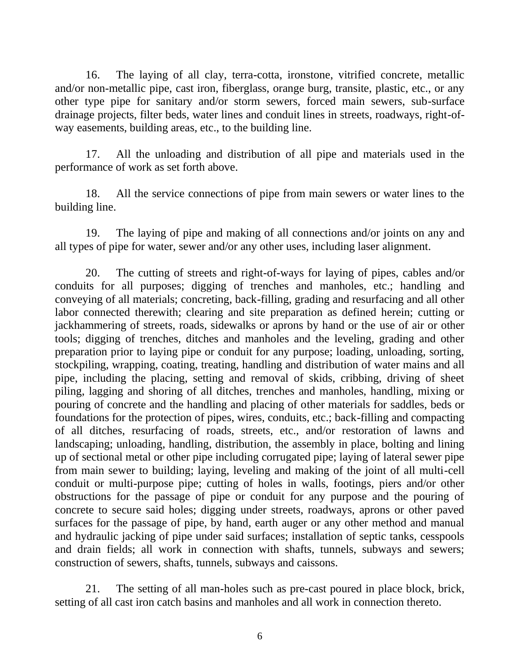16. The laying of all clay, terra-cotta, ironstone, vitrified concrete, metallic and/or non-metallic pipe, cast iron, fiberglass, orange burg, transite, plastic, etc., or any other type pipe for sanitary and/or storm sewers, forced main sewers, sub-surface drainage projects, filter beds, water lines and conduit lines in streets, roadways, right-ofway easements, building areas, etc., to the building line.

17. All the unloading and distribution of all pipe and materials used in the performance of work as set forth above.

18. All the service connections of pipe from main sewers or water lines to the building line.

19. The laying of pipe and making of all connections and/or joints on any and all types of pipe for water, sewer and/or any other uses, including laser alignment.

20. The cutting of streets and right-of-ways for laying of pipes, cables and/or conduits for all purposes; digging of trenches and manholes, etc.; handling and conveying of all materials; concreting, back-filling, grading and resurfacing and all other labor connected therewith; clearing and site preparation as defined herein; cutting or jackhammering of streets, roads, sidewalks or aprons by hand or the use of air or other tools; digging of trenches, ditches and manholes and the leveling, grading and other preparation prior to laying pipe or conduit for any purpose; loading, unloading, sorting, stockpiling, wrapping, coating, treating, handling and distribution of water mains and all pipe, including the placing, setting and removal of skids, cribbing, driving of sheet piling, lagging and shoring of all ditches, trenches and manholes, handling, mixing or pouring of concrete and the handling and placing of other materials for saddles, beds or foundations for the protection of pipes, wires, conduits, etc.; back-filling and compacting of all ditches, resurfacing of roads, streets, etc., and/or restoration of lawns and landscaping; unloading, handling, distribution, the assembly in place, bolting and lining up of sectional metal or other pipe including corrugated pipe; laying of lateral sewer pipe from main sewer to building; laying, leveling and making of the joint of all multi-cell conduit or multi-purpose pipe; cutting of holes in walls, footings, piers and/or other obstructions for the passage of pipe or conduit for any purpose and the pouring of concrete to secure said holes; digging under streets, roadways, aprons or other paved surfaces for the passage of pipe, by hand, earth auger or any other method and manual and hydraulic jacking of pipe under said surfaces; installation of septic tanks, cesspools and drain fields; all work in connection with shafts, tunnels, subways and sewers; construction of sewers, shafts, tunnels, subways and caissons.

21. The setting of all man-holes such as pre-cast poured in place block, brick, setting of all cast iron catch basins and manholes and all work in connection thereto.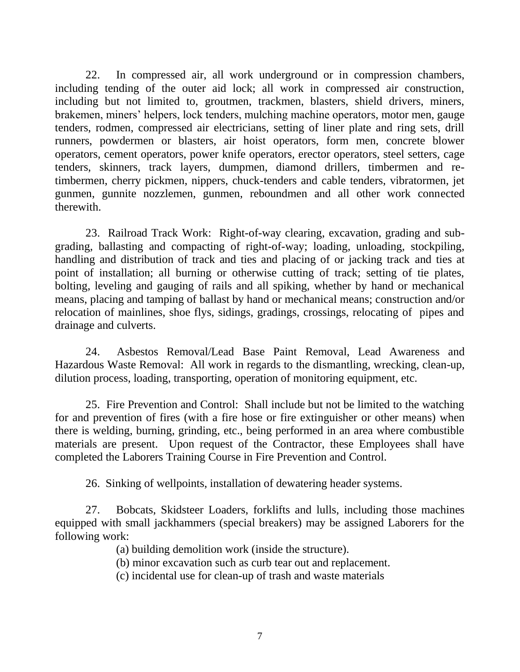22. In compressed air, all work underground or in compression chambers, including tending of the outer aid lock; all work in compressed air construction, including but not limited to, groutmen, trackmen, blasters, shield drivers, miners, brakemen, miners' helpers, lock tenders, mulching machine operators, motor men, gauge tenders, rodmen, compressed air electricians, setting of liner plate and ring sets, drill runners, powdermen or blasters, air hoist operators, form men, concrete blower operators, cement operators, power knife operators, erector operators, steel setters, cage tenders, skinners, track layers, dumpmen, diamond drillers, timbermen and retimbermen, cherry pickmen, nippers, chuck-tenders and cable tenders, vibratormen, jet gunmen, gunnite nozzlemen, gunmen, reboundmen and all other work connected therewith.

23. Railroad Track Work: Right-of-way clearing, excavation, grading and subgrading, ballasting and compacting of right-of-way; loading, unloading, stockpiling, handling and distribution of track and ties and placing of or jacking track and ties at point of installation; all burning or otherwise cutting of track; setting of tie plates, bolting, leveling and gauging of rails and all spiking, whether by hand or mechanical means, placing and tamping of ballast by hand or mechanical means; construction and/or relocation of mainlines, shoe flys, sidings, gradings, crossings, relocating of pipes and drainage and culverts.

24. Asbestos Removal/Lead Base Paint Removal, Lead Awareness and Hazardous Waste Removal: All work in regards to the dismantling, wrecking, clean-up, dilution process, loading, transporting, operation of monitoring equipment, etc.

25. Fire Prevention and Control: Shall include but not be limited to the watching for and prevention of fires (with a fire hose or fire extinguisher or other means) when there is welding, burning, grinding, etc., being performed in an area where combustible materials are present. Upon request of the Contractor, these Employees shall have completed the Laborers Training Course in Fire Prevention and Control.

26. Sinking of wellpoints, installation of dewatering header systems.

27. Bobcats, Skidsteer Loaders, forklifts and lulls, including those machines equipped with small jackhammers (special breakers) may be assigned Laborers for the following work:

(a) building demolition work (inside the structure).

(b) minor excavation such as curb tear out and replacement.

(c) incidental use for clean-up of trash and waste materials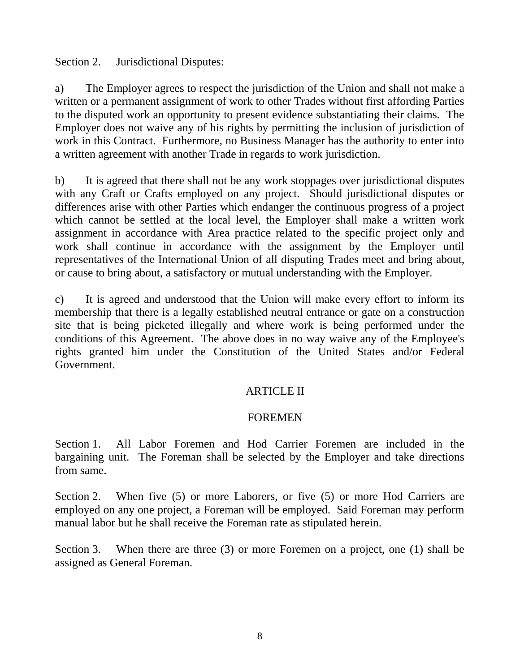Section 2. Jurisdictional Disputes:

a) The Employer agrees to respect the jurisdiction of the Union and shall not make a written or a permanent assignment of work to other Trades without first affording Parties to the disputed work an opportunity to present evidence substantiating their claims. The Employer does not waive any of his rights by permitting the inclusion of jurisdiction of work in this Contract. Furthermore, no Business Manager has the authority to enter into a written agreement with another Trade in regards to work jurisdiction.

b) It is agreed that there shall not be any work stoppages over jurisdictional disputes with any Craft or Crafts employed on any project. Should jurisdictional disputes or differences arise with other Parties which endanger the continuous progress of a project which cannot be settled at the local level, the Employer shall make a written work assignment in accordance with Area practice related to the specific project only and work shall continue in accordance with the assignment by the Employer until representatives of the International Union of all disputing Trades meet and bring about, or cause to bring about, a satisfactory or mutual understanding with the Employer.

c) It is agreed and understood that the Union will make every effort to inform its membership that there is a legally established neutral entrance or gate on a construction site that is being picketed illegally and where work is being performed under the conditions of this Agreement. The above does in no way waive any of the Employee's rights granted him under the Constitution of the United States and/or Federal Government.

# ARTICLE II

## FOREMEN

Section 1. All Labor Foremen and Hod Carrier Foremen are included in the bargaining unit. The Foreman shall be selected by the Employer and take directions from same.

Section 2. When five (5) or more Laborers, or five (5) or more Hod Carriers are employed on any one project, a Foreman will be employed. Said Foreman may perform manual labor but he shall receive the Foreman rate as stipulated herein.

Section 3. When there are three (3) or more Foremen on a project, one (1) shall be assigned as General Foreman.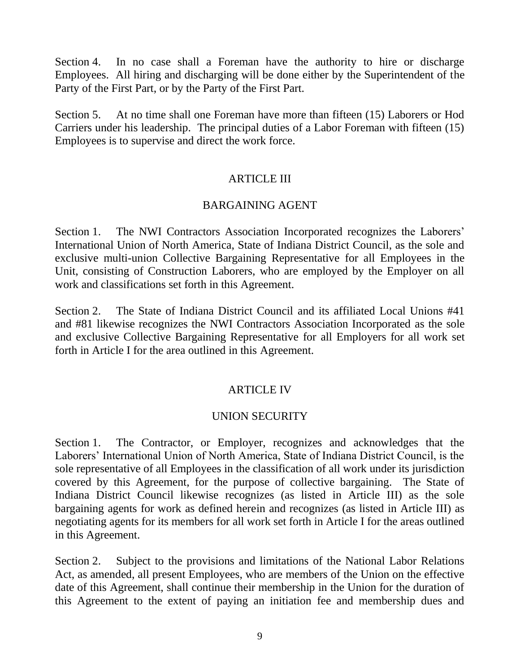Section 4. In no case shall a Foreman have the authority to hire or discharge Employees. All hiring and discharging will be done either by the Superintendent of the Party of the First Part, or by the Party of the First Part.

Section 5. At no time shall one Foreman have more than fifteen (15) Laborers or Hod Carriers under his leadership. The principal duties of a Labor Foreman with fifteen (15) Employees is to supervise and direct the work force.

## ARTICLE III

## BARGAINING AGENT

Section 1. The NWI Contractors Association Incorporated recognizes the Laborers' International Union of North America, State of Indiana District Council, as the sole and exclusive multi-union Collective Bargaining Representative for all Employees in the Unit, consisting of Construction Laborers, who are employed by the Employer on all work and classifications set forth in this Agreement.

Section 2. The State of Indiana District Council and its affiliated Local Unions #41 and #81 likewise recognizes the NWI Contractors Association Incorporated as the sole and exclusive Collective Bargaining Representative for all Employers for all work set forth in Article I for the area outlined in this Agreement.

## ARTICLE IV

### UNION SECURITY

Section 1. The Contractor, or Employer, recognizes and acknowledges that the Laborers' International Union of North America, State of Indiana District Council, is the sole representative of all Employees in the classification of all work under its jurisdiction covered by this Agreement, for the purpose of collective bargaining. The State of Indiana District Council likewise recognizes (as listed in Article III) as the sole bargaining agents for work as defined herein and recognizes (as listed in Article III) as negotiating agents for its members for all work set forth in Article I for the areas outlined in this Agreement.

Section 2. Subject to the provisions and limitations of the National Labor Relations Act, as amended, all present Employees, who are members of the Union on the effective date of this Agreement, shall continue their membership in the Union for the duration of this Agreement to the extent of paying an initiation fee and membership dues and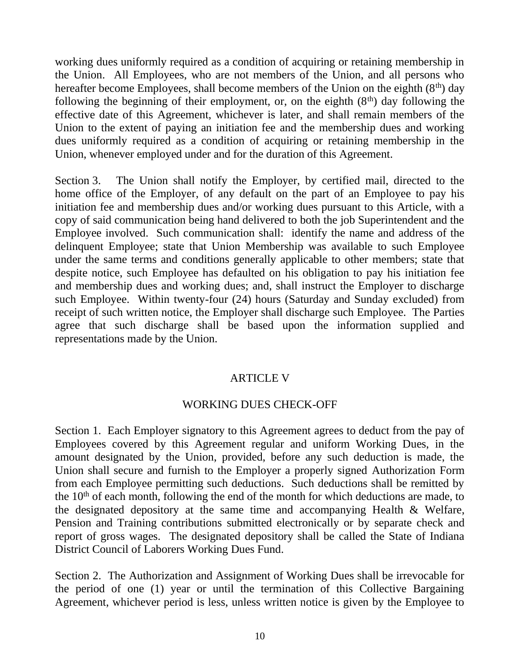working dues uniformly required as a condition of acquiring or retaining membership in the Union. All Employees, who are not members of the Union, and all persons who hereafter become Employees, shall become members of the Union on the eighth  $(8<sup>th</sup>)$  day following the beginning of their employment, or, on the eighth  $(8<sup>th</sup>)$  day following the effective date of this Agreement, whichever is later, and shall remain members of the Union to the extent of paying an initiation fee and the membership dues and working dues uniformly required as a condition of acquiring or retaining membership in the Union, whenever employed under and for the duration of this Agreement.

Section 3. The Union shall notify the Employer, by certified mail, directed to the home office of the Employer, of any default on the part of an Employee to pay his initiation fee and membership dues and/or working dues pursuant to this Article, with a copy of said communication being hand delivered to both the job Superintendent and the Employee involved. Such communication shall: identify the name and address of the delinquent Employee; state that Union Membership was available to such Employee under the same terms and conditions generally applicable to other members; state that despite notice, such Employee has defaulted on his obligation to pay his initiation fee and membership dues and working dues; and, shall instruct the Employer to discharge such Employee. Within twenty-four (24) hours (Saturday and Sunday excluded) from receipt of such written notice, the Employer shall discharge such Employee. The Parties agree that such discharge shall be based upon the information supplied and representations made by the Union.

# ARTICLE V

# WORKING DUES CHECK-OFF

Section 1. Each Employer signatory to this Agreement agrees to deduct from the pay of Employees covered by this Agreement regular and uniform Working Dues, in the amount designated by the Union, provided, before any such deduction is made, the Union shall secure and furnish to the Employer a properly signed Authorization Form from each Employee permitting such deductions. Such deductions shall be remitted by the  $10<sup>th</sup>$  of each month, following the end of the month for which deductions are made, to the designated depository at the same time and accompanying Health & Welfare, Pension and Training contributions submitted electronically or by separate check and report of gross wages. The designated depository shall be called the State of Indiana District Council of Laborers Working Dues Fund.

Section 2. The Authorization and Assignment of Working Dues shall be irrevocable for the period of one (1) year or until the termination of this Collective Bargaining Agreement, whichever period is less, unless written notice is given by the Employee to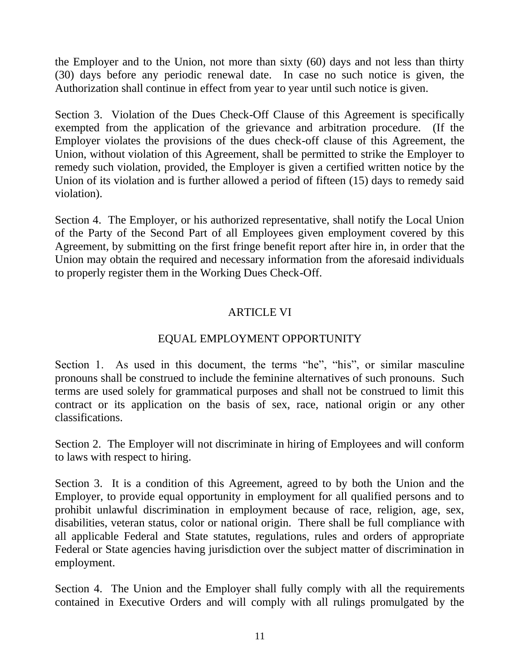the Employer and to the Union, not more than sixty (60) days and not less than thirty (30) days before any periodic renewal date. In case no such notice is given, the Authorization shall continue in effect from year to year until such notice is given.

Section 3. Violation of the Dues Check-Off Clause of this Agreement is specifically exempted from the application of the grievance and arbitration procedure. (If the Employer violates the provisions of the dues check-off clause of this Agreement, the Union, without violation of this Agreement, shall be permitted to strike the Employer to remedy such violation, provided, the Employer is given a certified written notice by the Union of its violation and is further allowed a period of fifteen (15) days to remedy said violation).

Section 4. The Employer, or his authorized representative, shall notify the Local Union of the Party of the Second Part of all Employees given employment covered by this Agreement, by submitting on the first fringe benefit report after hire in, in order that the Union may obtain the required and necessary information from the aforesaid individuals to properly register them in the Working Dues Check-Off.

# ARTICLE VI

# EQUAL EMPLOYMENT OPPORTUNITY

Section 1. As used in this document, the terms "he", "his", or similar masculine pronouns shall be construed to include the feminine alternatives of such pronouns. Such terms are used solely for grammatical purposes and shall not be construed to limit this contract or its application on the basis of sex, race, national origin or any other classifications.

Section 2. The Employer will not discriminate in hiring of Employees and will conform to laws with respect to hiring.

Section 3. It is a condition of this Agreement, agreed to by both the Union and the Employer, to provide equal opportunity in employment for all qualified persons and to prohibit unlawful discrimination in employment because of race, religion, age, sex, disabilities, veteran status, color or national origin. There shall be full compliance with all applicable Federal and State statutes, regulations, rules and orders of appropriate Federal or State agencies having jurisdiction over the subject matter of discrimination in employment.

Section 4. The Union and the Employer shall fully comply with all the requirements contained in Executive Orders and will comply with all rulings promulgated by the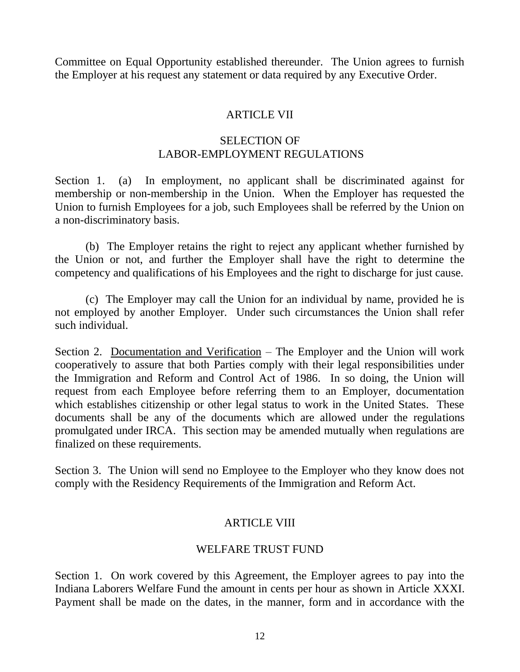Committee on Equal Opportunity established thereunder. The Union agrees to furnish the Employer at his request any statement or data required by any Executive Order.

## ARTICLE VII

## SELECTION OF LABOR-EMPLOYMENT REGULATIONS

Section 1. (a) In employment, no applicant shall be discriminated against for membership or non-membership in the Union. When the Employer has requested the Union to furnish Employees for a job, such Employees shall be referred by the Union on a non-discriminatory basis.

(b) The Employer retains the right to reject any applicant whether furnished by the Union or not, and further the Employer shall have the right to determine the competency and qualifications of his Employees and the right to discharge for just cause.

(c) The Employer may call the Union for an individual by name, provided he is not employed by another Employer. Under such circumstances the Union shall refer such individual.

Section 2. Documentation and Verification – The Employer and the Union will work cooperatively to assure that both Parties comply with their legal responsibilities under the Immigration and Reform and Control Act of 1986. In so doing, the Union will request from each Employee before referring them to an Employer, documentation which establishes citizenship or other legal status to work in the United States. These documents shall be any of the documents which are allowed under the regulations promulgated under IRCA. This section may be amended mutually when regulations are finalized on these requirements.

Section 3. The Union will send no Employee to the Employer who they know does not comply with the Residency Requirements of the Immigration and Reform Act.

# ARTICLE VIII

# WELFARE TRUST FUND

Section 1. On work covered by this Agreement, the Employer agrees to pay into the Indiana Laborers Welfare Fund the amount in cents per hour as shown in Article XXXI. Payment shall be made on the dates, in the manner, form and in accordance with the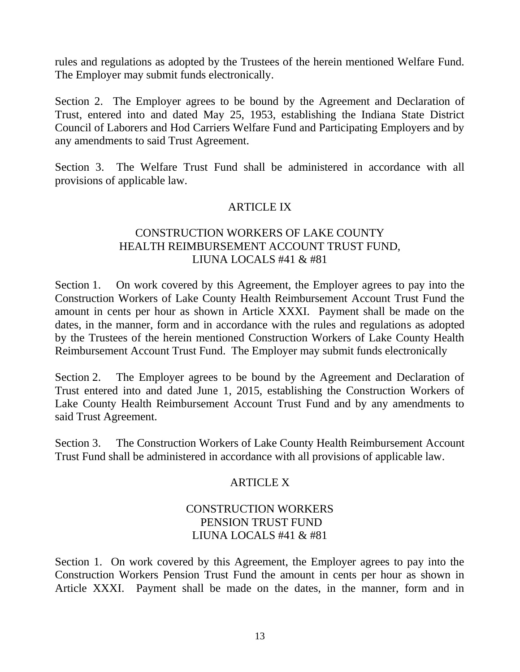rules and regulations as adopted by the Trustees of the herein mentioned Welfare Fund. The Employer may submit funds electronically.

Section 2. The Employer agrees to be bound by the Agreement and Declaration of Trust, entered into and dated May 25, 1953, establishing the Indiana State District Council of Laborers and Hod Carriers Welfare Fund and Participating Employers and by any amendments to said Trust Agreement.

Section 3. The Welfare Trust Fund shall be administered in accordance with all provisions of applicable law.

## ARTICLE IX

# CONSTRUCTION WORKERS OF LAKE COUNTY HEALTH REIMBURSEMENT ACCOUNT TRUST FUND, LIUNA LOCALS #41 & #81

Section 1. On work covered by this Agreement, the Employer agrees to pay into the Construction Workers of Lake County Health Reimbursement Account Trust Fund the amount in cents per hour as shown in Article XXXI. Payment shall be made on the dates, in the manner, form and in accordance with the rules and regulations as adopted by the Trustees of the herein mentioned Construction Workers of Lake County Health Reimbursement Account Trust Fund. The Employer may submit funds electronically

Section 2. The Employer agrees to be bound by the Agreement and Declaration of Trust entered into and dated June 1, 2015, establishing the Construction Workers of Lake County Health Reimbursement Account Trust Fund and by any amendments to said Trust Agreement.

Section 3. The Construction Workers of Lake County Health Reimbursement Account Trust Fund shall be administered in accordance with all provisions of applicable law.

# ARTICLE X

## CONSTRUCTION WORKERS PENSION TRUST FUND LIUNA LOCALS #41 & #81

Section 1. On work covered by this Agreement, the Employer agrees to pay into the Construction Workers Pension Trust Fund the amount in cents per hour as shown in Article XXXI. Payment shall be made on the dates, in the manner, form and in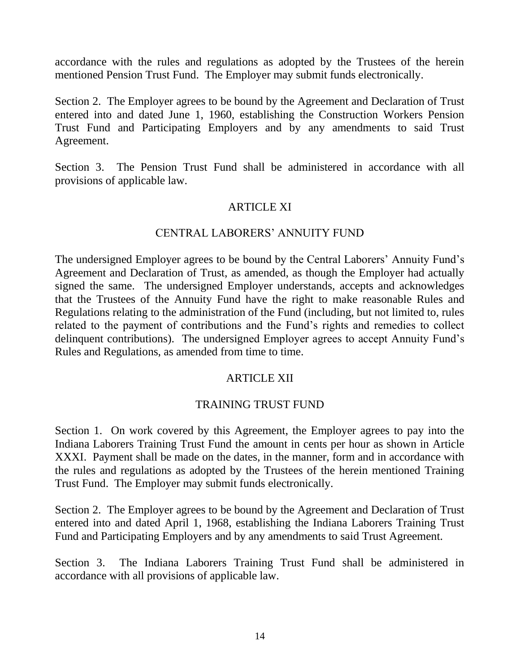accordance with the rules and regulations as adopted by the Trustees of the herein mentioned Pension Trust Fund. The Employer may submit funds electronically.

Section 2. The Employer agrees to be bound by the Agreement and Declaration of Trust entered into and dated June 1, 1960, establishing the Construction Workers Pension Trust Fund and Participating Employers and by any amendments to said Trust Agreement.

Section 3. The Pension Trust Fund shall be administered in accordance with all provisions of applicable law.

## ARTICLE XI

## CENTRAL LABORERS' ANNUITY FUND

The undersigned Employer agrees to be bound by the Central Laborers' Annuity Fund's Agreement and Declaration of Trust, as amended, as though the Employer had actually signed the same. The undersigned Employer understands, accepts and acknowledges that the Trustees of the Annuity Fund have the right to make reasonable Rules and Regulations relating to the administration of the Fund (including, but not limited to, rules related to the payment of contributions and the Fund's rights and remedies to collect delinquent contributions). The undersigned Employer agrees to accept Annuity Fund's Rules and Regulations, as amended from time to time.

## ARTICLE XII

## TRAINING TRUST FUND

Section 1. On work covered by this Agreement, the Employer agrees to pay into the Indiana Laborers Training Trust Fund the amount in cents per hour as shown in Article XXXI. Payment shall be made on the dates, in the manner, form and in accordance with the rules and regulations as adopted by the Trustees of the herein mentioned Training Trust Fund. The Employer may submit funds electronically.

Section 2. The Employer agrees to be bound by the Agreement and Declaration of Trust entered into and dated April 1, 1968, establishing the Indiana Laborers Training Trust Fund and Participating Employers and by any amendments to said Trust Agreement.

Section 3. The Indiana Laborers Training Trust Fund shall be administered in accordance with all provisions of applicable law.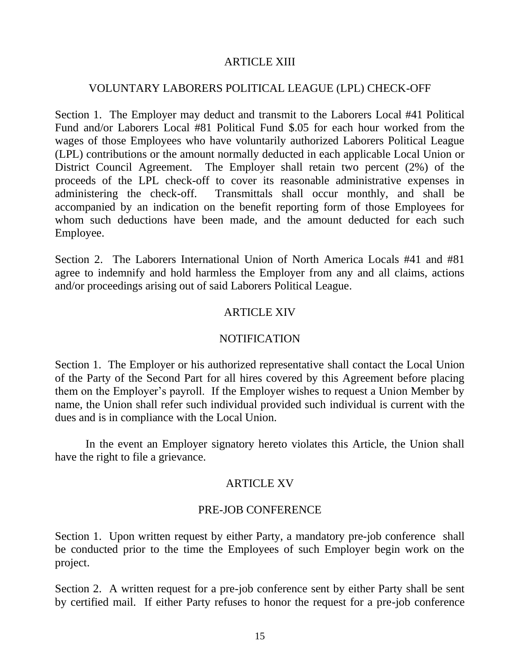## ARTICLE XIII

## VOLUNTARY LABORERS POLITICAL LEAGUE (LPL) CHECK-OFF

Section 1. The Employer may deduct and transmit to the Laborers Local #41 Political Fund and/or Laborers Local #81 Political Fund \$.05 for each hour worked from the wages of those Employees who have voluntarily authorized Laborers Political League (LPL) contributions or the amount normally deducted in each applicable Local Union or District Council Agreement. The Employer shall retain two percent (2%) of the proceeds of the LPL check-off to cover its reasonable administrative expenses in administering the check-off. Transmittals shall occur monthly, and shall be accompanied by an indication on the benefit reporting form of those Employees for whom such deductions have been made, and the amount deducted for each such Employee.

Section 2. The Laborers International Union of North America Locals #41 and #81 agree to indemnify and hold harmless the Employer from any and all claims, actions and/or proceedings arising out of said Laborers Political League.

## ARTICLE XIV

### NOTIFICATION

Section 1. The Employer or his authorized representative shall contact the Local Union of the Party of the Second Part for all hires covered by this Agreement before placing them on the Employer's payroll. If the Employer wishes to request a Union Member by name, the Union shall refer such individual provided such individual is current with the dues and is in compliance with the Local Union.

In the event an Employer signatory hereto violates this Article, the Union shall have the right to file a grievance.

### ARTICLE XV

### PRE-JOB CONFERENCE

Section 1. Upon written request by either Party, a mandatory pre-job conference shall be conducted prior to the time the Employees of such Employer begin work on the project.

Section 2. A written request for a pre-job conference sent by either Party shall be sent by certified mail. If either Party refuses to honor the request for a pre-job conference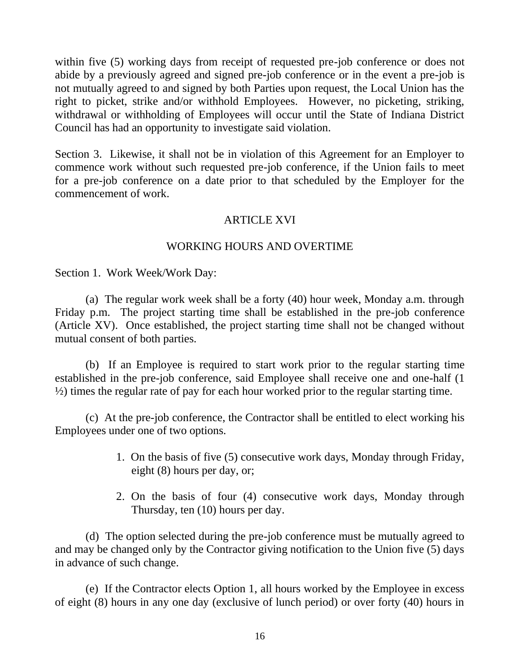within five (5) working days from receipt of requested pre-job conference or does not abide by a previously agreed and signed pre-job conference or in the event a pre-job is not mutually agreed to and signed by both Parties upon request, the Local Union has the right to picket, strike and/or withhold Employees. However, no picketing, striking, withdrawal or withholding of Employees will occur until the State of Indiana District Council has had an opportunity to investigate said violation.

Section 3. Likewise, it shall not be in violation of this Agreement for an Employer to commence work without such requested pre-job conference, if the Union fails to meet for a pre-job conference on a date prior to that scheduled by the Employer for the commencement of work.

## ARTICLE XVI

## WORKING HOURS AND OVERTIME

Section 1. Work Week/Work Day:

(a) The regular work week shall be a forty (40) hour week, Monday a.m. through Friday p.m. The project starting time shall be established in the pre-job conference (Article XV). Once established, the project starting time shall not be changed without mutual consent of both parties.

(b) If an Employee is required to start work prior to the regular starting time established in the pre-job conference, said Employee shall receive one and one-half (1 ½) times the regular rate of pay for each hour worked prior to the regular starting time.

(c) At the pre-job conference, the Contractor shall be entitled to elect working his Employees under one of two options.

- 1. On the basis of five (5) consecutive work days, Monday through Friday, eight (8) hours per day, or;
- 2. On the basis of four (4) consecutive work days, Monday through Thursday, ten (10) hours per day.

(d) The option selected during the pre-job conference must be mutually agreed to and may be changed only by the Contractor giving notification to the Union five (5) days in advance of such change.

(e) If the Contractor elects Option 1, all hours worked by the Employee in excess of eight (8) hours in any one day (exclusive of lunch period) or over forty (40) hours in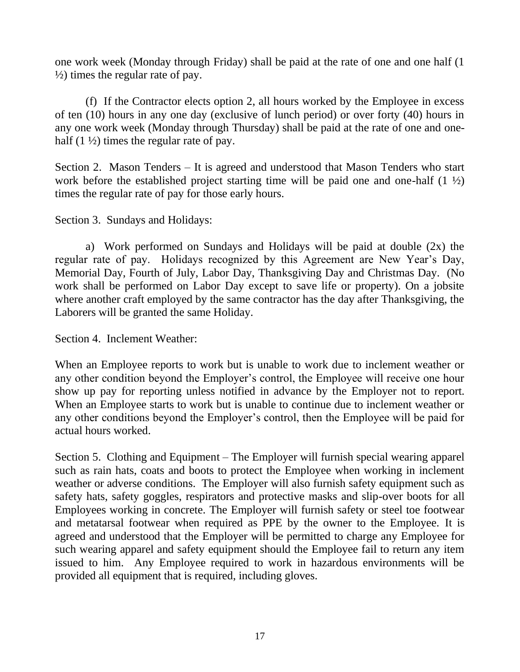one work week (Monday through Friday) shall be paid at the rate of one and one half (1  $\frac{1}{2}$ ) times the regular rate of pay.

(f) If the Contractor elects option 2, all hours worked by the Employee in excess of ten (10) hours in any one day (exclusive of lunch period) or over forty (40) hours in any one work week (Monday through Thursday) shall be paid at the rate of one and onehalf  $(1 \frac{1}{2})$  times the regular rate of pay.

Section 2. Mason Tenders – It is agreed and understood that Mason Tenders who start work before the established project starting time will be paid one and one-half  $(1 \frac{1}{2})$ times the regular rate of pay for those early hours.

Section 3. Sundays and Holidays:

a) Work performed on Sundays and Holidays will be paid at double (2x) the regular rate of pay. Holidays recognized by this Agreement are New Year's Day, Memorial Day, Fourth of July, Labor Day, Thanksgiving Day and Christmas Day. (No work shall be performed on Labor Day except to save life or property). On a jobsite where another craft employed by the same contractor has the day after Thanksgiving, the Laborers will be granted the same Holiday.

Section 4. Inclement Weather:

When an Employee reports to work but is unable to work due to inclement weather or any other condition beyond the Employer's control, the Employee will receive one hour show up pay for reporting unless notified in advance by the Employer not to report. When an Employee starts to work but is unable to continue due to inclement weather or any other conditions beyond the Employer's control, then the Employee will be paid for actual hours worked.

Section 5. Clothing and Equipment – The Employer will furnish special wearing apparel such as rain hats, coats and boots to protect the Employee when working in inclement weather or adverse conditions. The Employer will also furnish safety equipment such as safety hats, safety goggles, respirators and protective masks and slip-over boots for all Employees working in concrete. The Employer will furnish safety or steel toe footwear and metatarsal footwear when required as PPE by the owner to the Employee. It is agreed and understood that the Employer will be permitted to charge any Employee for such wearing apparel and safety equipment should the Employee fail to return any item issued to him. Any Employee required to work in hazardous environments will be provided all equipment that is required, including gloves.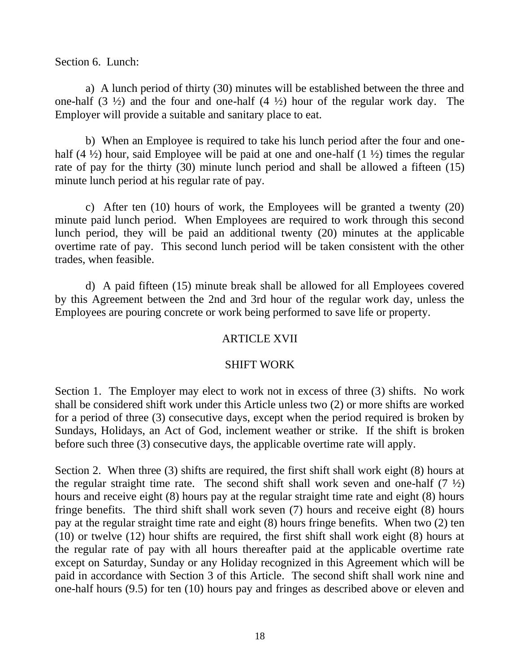### Section 6. Lunch:

a) A lunch period of thirty (30) minutes will be established between the three and one-half  $(3 \frac{1}{2})$  and the four and one-half  $(4 \frac{1}{2})$  hour of the regular work day. The Employer will provide a suitable and sanitary place to eat.

b) When an Employee is required to take his lunch period after the four and onehalf (4  $\frac{1}{2}$ ) hour, said Employee will be paid at one and one-half (1  $\frac{1}{2}$ ) times the regular rate of pay for the thirty (30) minute lunch period and shall be allowed a fifteen (15) minute lunch period at his regular rate of pay.

c) After ten (10) hours of work, the Employees will be granted a twenty (20) minute paid lunch period. When Employees are required to work through this second lunch period, they will be paid an additional twenty (20) minutes at the applicable overtime rate of pay. This second lunch period will be taken consistent with the other trades, when feasible.

d) A paid fifteen (15) minute break shall be allowed for all Employees covered by this Agreement between the 2nd and 3rd hour of the regular work day, unless the Employees are pouring concrete or work being performed to save life or property.

## ARTICLE XVII

## SHIFT WORK

Section 1. The Employer may elect to work not in excess of three (3) shifts. No work shall be considered shift work under this Article unless two (2) or more shifts are worked for a period of three (3) consecutive days, except when the period required is broken by Sundays, Holidays, an Act of God, inclement weather or strike. If the shift is broken before such three (3) consecutive days, the applicable overtime rate will apply.

Section 2. When three (3) shifts are required, the first shift shall work eight (8) hours at the regular straight time rate. The second shift shall work seven and one-half  $(7 \frac{1}{2})$ hours and receive eight (8) hours pay at the regular straight time rate and eight (8) hours fringe benefits. The third shift shall work seven (7) hours and receive eight (8) hours pay at the regular straight time rate and eight (8) hours fringe benefits. When two (2) ten (10) or twelve (12) hour shifts are required, the first shift shall work eight (8) hours at the regular rate of pay with all hours thereafter paid at the applicable overtime rate except on Saturday, Sunday or any Holiday recognized in this Agreement which will be paid in accordance with Section 3 of this Article. The second shift shall work nine and one-half hours (9.5) for ten (10) hours pay and fringes as described above or eleven and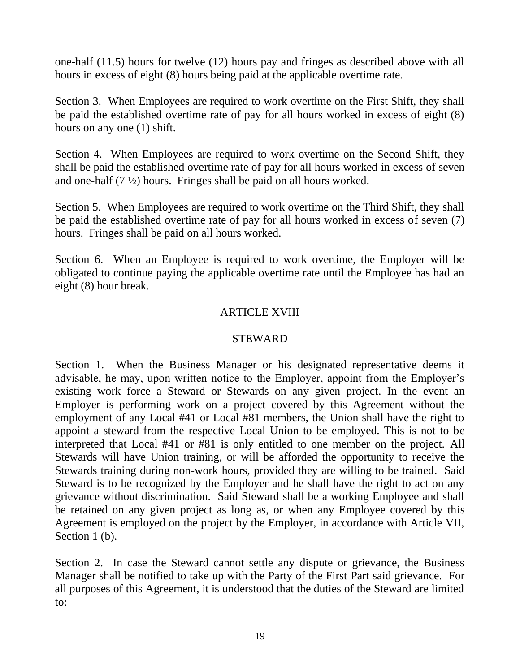one-half (11.5) hours for twelve (12) hours pay and fringes as described above with all hours in excess of eight (8) hours being paid at the applicable overtime rate.

Section 3. When Employees are required to work overtime on the First Shift, they shall be paid the established overtime rate of pay for all hours worked in excess of eight (8) hours on any one (1) shift.

Section 4. When Employees are required to work overtime on the Second Shift, they shall be paid the established overtime rate of pay for all hours worked in excess of seven and one-half (7 ½) hours. Fringes shall be paid on all hours worked.

Section 5. When Employees are required to work overtime on the Third Shift, they shall be paid the established overtime rate of pay for all hours worked in excess of seven (7) hours. Fringes shall be paid on all hours worked.

Section 6. When an Employee is required to work overtime, the Employer will be obligated to continue paying the applicable overtime rate until the Employee has had an eight (8) hour break.

# ARTICLE XVIII

## STEWARD

Section 1. When the Business Manager or his designated representative deems it advisable, he may, upon written notice to the Employer, appoint from the Employer's existing work force a Steward or Stewards on any given project. In the event an Employer is performing work on a project covered by this Agreement without the employment of any Local #41 or Local #81 members, the Union shall have the right to appoint a steward from the respective Local Union to be employed. This is not to be interpreted that Local #41 or #81 is only entitled to one member on the project. All Stewards will have Union training, or will be afforded the opportunity to receive the Stewards training during non-work hours, provided they are willing to be trained. Said Steward is to be recognized by the Employer and he shall have the right to act on any grievance without discrimination. Said Steward shall be a working Employee and shall be retained on any given project as long as, or when any Employee covered by this Agreement is employed on the project by the Employer, in accordance with Article VII, Section 1 (b).

Section 2. In case the Steward cannot settle any dispute or grievance, the Business Manager shall be notified to take up with the Party of the First Part said grievance. For all purposes of this Agreement, it is understood that the duties of the Steward are limited to: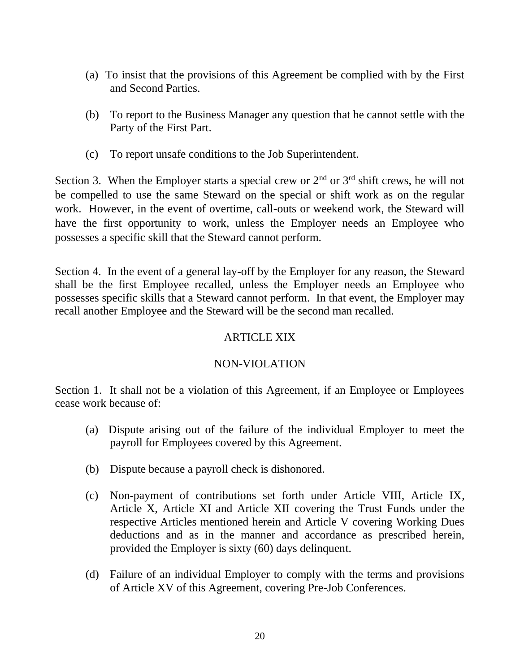- (a) To insist that the provisions of this Agreement be complied with by the First and Second Parties.
- (b) To report to the Business Manager any question that he cannot settle with the Party of the First Part.
- (c) To report unsafe conditions to the Job Superintendent.

Section 3. When the Employer starts a special crew or  $2<sup>nd</sup>$  or  $3<sup>rd</sup>$  shift crews, he will not be compelled to use the same Steward on the special or shift work as on the regular work. However, in the event of overtime, call-outs or weekend work, the Steward will have the first opportunity to work, unless the Employer needs an Employee who possesses a specific skill that the Steward cannot perform.

Section 4. In the event of a general lay-off by the Employer for any reason, the Steward shall be the first Employee recalled, unless the Employer needs an Employee who possesses specific skills that a Steward cannot perform. In that event, the Employer may recall another Employee and the Steward will be the second man recalled.

# ARTICLE XIX

# NON-VIOLATION

Section 1. It shall not be a violation of this Agreement, if an Employee or Employees cease work because of:

- (a) Dispute arising out of the failure of the individual Employer to meet the payroll for Employees covered by this Agreement.
- (b) Dispute because a payroll check is dishonored.
- (c) Non-payment of contributions set forth under Article VIII, Article IX, Article X, Article XI and Article XII covering the Trust Funds under the respective Articles mentioned herein and Article V covering Working Dues deductions and as in the manner and accordance as prescribed herein, provided the Employer is sixty (60) days delinquent.
- (d) Failure of an individual Employer to comply with the terms and provisions of Article XV of this Agreement, covering Pre-Job Conferences.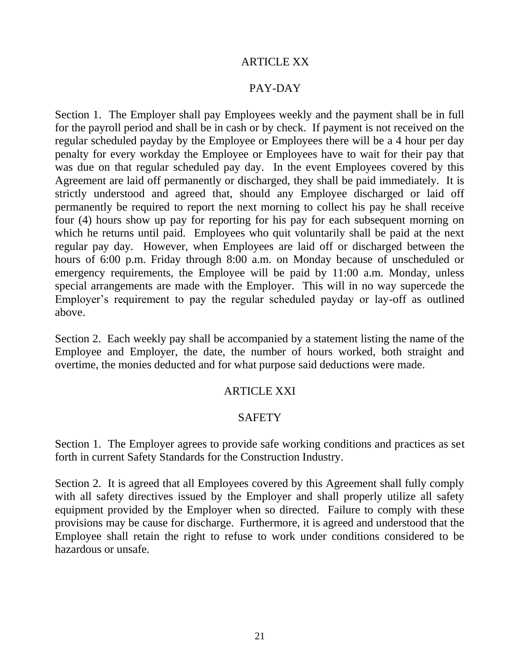## ARTICLE XX

### PAY-DAY

Section 1. The Employer shall pay Employees weekly and the payment shall be in full for the payroll period and shall be in cash or by check. If payment is not received on the regular scheduled payday by the Employee or Employees there will be a 4 hour per day penalty for every workday the Employee or Employees have to wait for their pay that was due on that regular scheduled pay day. In the event Employees covered by this Agreement are laid off permanently or discharged, they shall be paid immediately. It is strictly understood and agreed that, should any Employee discharged or laid off permanently be required to report the next morning to collect his pay he shall receive four (4) hours show up pay for reporting for his pay for each subsequent morning on which he returns until paid. Employees who quit voluntarily shall be paid at the next regular pay day. However, when Employees are laid off or discharged between the hours of 6:00 p.m. Friday through 8:00 a.m. on Monday because of unscheduled or emergency requirements, the Employee will be paid by 11:00 a.m. Monday, unless special arrangements are made with the Employer. This will in no way supercede the Employer's requirement to pay the regular scheduled payday or lay-off as outlined above.

Section 2. Each weekly pay shall be accompanied by a statement listing the name of the Employee and Employer, the date, the number of hours worked, both straight and overtime, the monies deducted and for what purpose said deductions were made.

### ARTICLE XXI

### **SAFETY**

Section 1. The Employer agrees to provide safe working conditions and practices as set forth in current Safety Standards for the Construction Industry.

Section 2. It is agreed that all Employees covered by this Agreement shall fully comply with all safety directives issued by the Employer and shall properly utilize all safety equipment provided by the Employer when so directed. Failure to comply with these provisions may be cause for discharge. Furthermore, it is agreed and understood that the Employee shall retain the right to refuse to work under conditions considered to be hazardous or unsafe.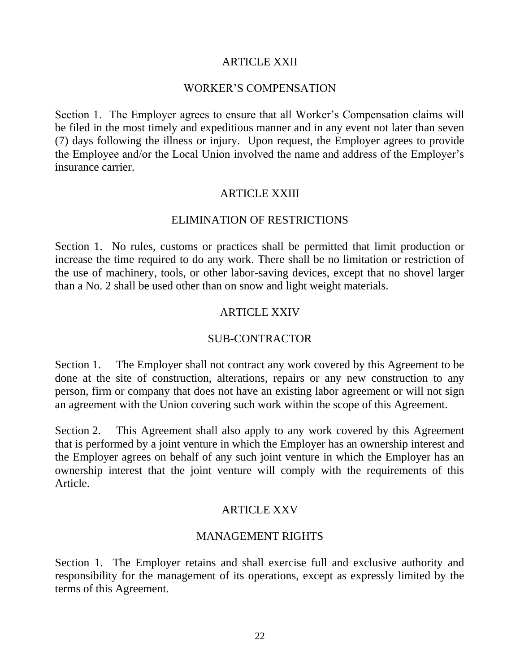## ARTICLE XXII

### WORKER'S COMPENSATION

Section 1. The Employer agrees to ensure that all Worker's Compensation claims will be filed in the most timely and expeditious manner and in any event not later than seven (7) days following the illness or injury. Upon request, the Employer agrees to provide the Employee and/or the Local Union involved the name and address of the Employer's insurance carrier.

## ARTICLE XXIII

### ELIMINATION OF RESTRICTIONS

Section 1. No rules, customs or practices shall be permitted that limit production or increase the time required to do any work. There shall be no limitation or restriction of the use of machinery, tools, or other labor-saving devices, except that no shovel larger than a No. 2 shall be used other than on snow and light weight materials.

## ARTICLE XXIV

## SUB-CONTRACTOR

Section 1. The Employer shall not contract any work covered by this Agreement to be done at the site of construction, alterations, repairs or any new construction to any person, firm or company that does not have an existing labor agreement or will not sign an agreement with the Union covering such work within the scope of this Agreement.

Section 2. This Agreement shall also apply to any work covered by this Agreement that is performed by a joint venture in which the Employer has an ownership interest and the Employer agrees on behalf of any such joint venture in which the Employer has an ownership interest that the joint venture will comply with the requirements of this Article.

## ARTICLE XXV

## MANAGEMENT RIGHTS

Section 1. The Employer retains and shall exercise full and exclusive authority and responsibility for the management of its operations, except as expressly limited by the terms of this Agreement.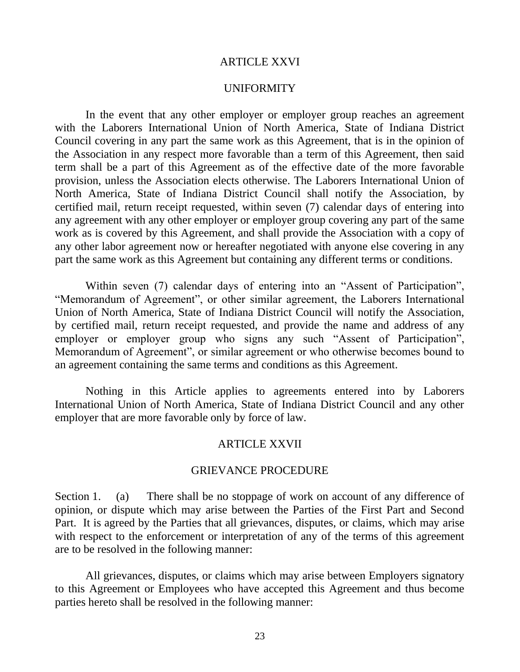### ARTICLE XXVI

### UNIFORMITY

In the event that any other employer or employer group reaches an agreement with the Laborers International Union of North America, State of Indiana District Council covering in any part the same work as this Agreement, that is in the opinion of the Association in any respect more favorable than a term of this Agreement, then said term shall be a part of this Agreement as of the effective date of the more favorable provision, unless the Association elects otherwise. The Laborers International Union of North America, State of Indiana District Council shall notify the Association, by certified mail, return receipt requested, within seven (7) calendar days of entering into any agreement with any other employer or employer group covering any part of the same work as is covered by this Agreement, and shall provide the Association with a copy of any other labor agreement now or hereafter negotiated with anyone else covering in any part the same work as this Agreement but containing any different terms or conditions.

Within seven (7) calendar days of entering into an "Assent of Participation", "Memorandum of Agreement", or other similar agreement, the Laborers International Union of North America, State of Indiana District Council will notify the Association, by certified mail, return receipt requested, and provide the name and address of any employer or employer group who signs any such "Assent of Participation", Memorandum of Agreement", or similar agreement or who otherwise becomes bound to an agreement containing the same terms and conditions as this Agreement.

Nothing in this Article applies to agreements entered into by Laborers International Union of North America, State of Indiana District Council and any other employer that are more favorable only by force of law.

#### ARTICLE XXVII

#### GRIEVANCE PROCEDURE

Section 1. (a) There shall be no stoppage of work on account of any difference of opinion, or dispute which may arise between the Parties of the First Part and Second Part. It is agreed by the Parties that all grievances, disputes, or claims, which may arise with respect to the enforcement or interpretation of any of the terms of this agreement are to be resolved in the following manner:

All grievances, disputes, or claims which may arise between Employers signatory to this Agreement or Employees who have accepted this Agreement and thus become parties hereto shall be resolved in the following manner: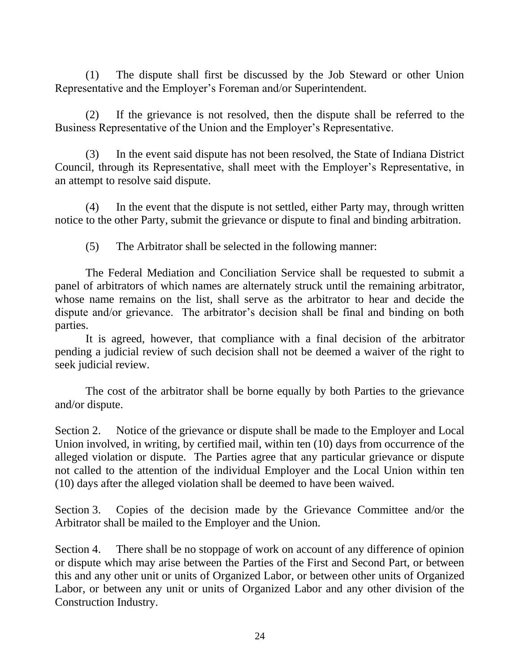(1) The dispute shall first be discussed by the Job Steward or other Union Representative and the Employer's Foreman and/or Superintendent.

(2) If the grievance is not resolved, then the dispute shall be referred to the Business Representative of the Union and the Employer's Representative.

(3) In the event said dispute has not been resolved, the State of Indiana District Council, through its Representative, shall meet with the Employer's Representative, in an attempt to resolve said dispute.

(4) In the event that the dispute is not settled, either Party may, through written notice to the other Party, submit the grievance or dispute to final and binding arbitration.

(5) The Arbitrator shall be selected in the following manner:

The Federal Mediation and Conciliation Service shall be requested to submit a panel of arbitrators of which names are alternately struck until the remaining arbitrator, whose name remains on the list, shall serve as the arbitrator to hear and decide the dispute and/or grievance. The arbitrator's decision shall be final and binding on both parties.

It is agreed, however, that compliance with a final decision of the arbitrator pending a judicial review of such decision shall not be deemed a waiver of the right to seek judicial review.

The cost of the arbitrator shall be borne equally by both Parties to the grievance and/or dispute.

Section 2. Notice of the grievance or dispute shall be made to the Employer and Local Union involved, in writing, by certified mail, within ten (10) days from occurrence of the alleged violation or dispute. The Parties agree that any particular grievance or dispute not called to the attention of the individual Employer and the Local Union within ten (10) days after the alleged violation shall be deemed to have been waived.

Section 3. Copies of the decision made by the Grievance Committee and/or the Arbitrator shall be mailed to the Employer and the Union.

Section 4. There shall be no stoppage of work on account of any difference of opinion or dispute which may arise between the Parties of the First and Second Part, or between this and any other unit or units of Organized Labor, or between other units of Organized Labor, or between any unit or units of Organized Labor and any other division of the Construction Industry.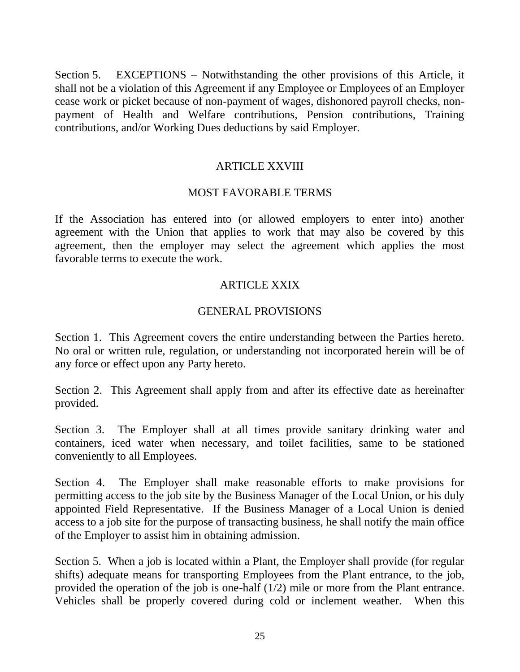Section 5. EXCEPTIONS – Notwithstanding the other provisions of this Article, it shall not be a violation of this Agreement if any Employee or Employees of an Employer cease work or picket because of non-payment of wages, dishonored payroll checks, nonpayment of Health and Welfare contributions, Pension contributions, Training contributions, and/or Working Dues deductions by said Employer.

## ARTICLE XXVIII

## MOST FAVORABLE TERMS

If the Association has entered into (or allowed employers to enter into) another agreement with the Union that applies to work that may also be covered by this agreement, then the employer may select the agreement which applies the most favorable terms to execute the work.

## ARTICLE XXIX

## GENERAL PROVISIONS

Section 1. This Agreement covers the entire understanding between the Parties hereto. No oral or written rule, regulation, or understanding not incorporated herein will be of any force or effect upon any Party hereto.

Section 2. This Agreement shall apply from and after its effective date as hereinafter provided.

Section 3. The Employer shall at all times provide sanitary drinking water and containers, iced water when necessary, and toilet facilities, same to be stationed conveniently to all Employees.

Section 4. The Employer shall make reasonable efforts to make provisions for permitting access to the job site by the Business Manager of the Local Union, or his duly appointed Field Representative. If the Business Manager of a Local Union is denied access to a job site for the purpose of transacting business, he shall notify the main office of the Employer to assist him in obtaining admission.

Section 5. When a job is located within a Plant, the Employer shall provide (for regular shifts) adequate means for transporting Employees from the Plant entrance, to the job, provided the operation of the job is one-half (1/2) mile or more from the Plant entrance. Vehicles shall be properly covered during cold or inclement weather. When this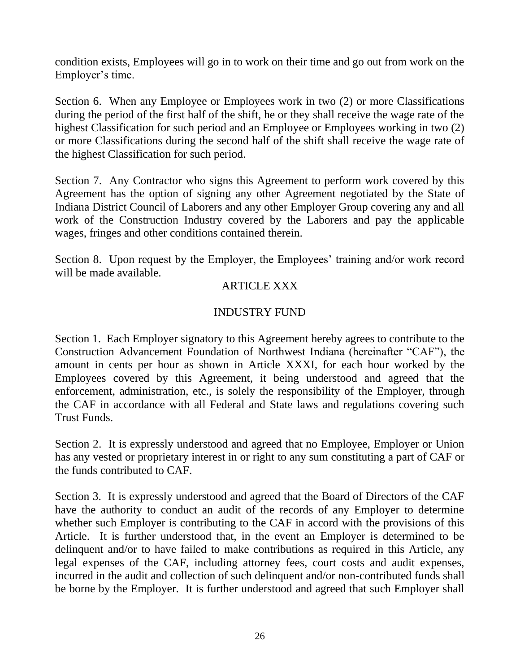condition exists, Employees will go in to work on their time and go out from work on the Employer's time.

Section 6. When any Employee or Employees work in two (2) or more Classifications during the period of the first half of the shift, he or they shall receive the wage rate of the highest Classification for such period and an Employee or Employees working in two (2) or more Classifications during the second half of the shift shall receive the wage rate of the highest Classification for such period.

Section 7. Any Contractor who signs this Agreement to perform work covered by this Agreement has the option of signing any other Agreement negotiated by the State of Indiana District Council of Laborers and any other Employer Group covering any and all work of the Construction Industry covered by the Laborers and pay the applicable wages, fringes and other conditions contained therein.

Section 8. Upon request by the Employer, the Employees' training and/or work record will be made available.

# ARTICLE XXX

# INDUSTRY FUND

Section 1. Each Employer signatory to this Agreement hereby agrees to contribute to the Construction Advancement Foundation of Northwest Indiana (hereinafter "CAF"), the amount in cents per hour as shown in Article XXXI, for each hour worked by the Employees covered by this Agreement, it being understood and agreed that the enforcement, administration, etc., is solely the responsibility of the Employer, through the CAF in accordance with all Federal and State laws and regulations covering such Trust Funds.

Section 2. It is expressly understood and agreed that no Employee, Employer or Union has any vested or proprietary interest in or right to any sum constituting a part of CAF or the funds contributed to CAF.

Section 3. It is expressly understood and agreed that the Board of Directors of the CAF have the authority to conduct an audit of the records of any Employer to determine whether such Employer is contributing to the CAF in accord with the provisions of this Article. It is further understood that, in the event an Employer is determined to be delinquent and/or to have failed to make contributions as required in this Article, any legal expenses of the CAF, including attorney fees, court costs and audit expenses, incurred in the audit and collection of such delinquent and/or non-contributed funds shall be borne by the Employer. It is further understood and agreed that such Employer shall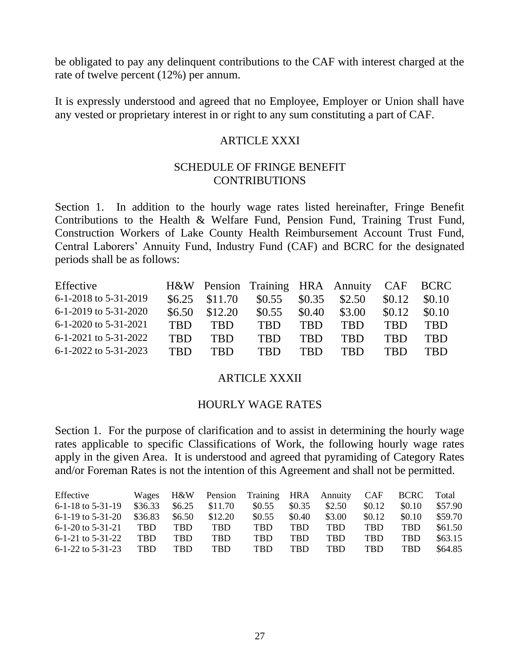be obligated to pay any delinquent contributions to the CAF with interest charged at the rate of twelve percent (12%) per annum.

It is expressly understood and agreed that no Employee, Employer or Union shall have any vested or proprietary interest in or right to any sum constituting a part of CAF.

## ARTICLE XXXI

### SCHEDULE OF FRINGE BENEFIT **CONTRIBUTIONS**

Section 1. In addition to the hourly wage rates listed hereinafter, Fringe Benefit Contributions to the Health & Welfare Fund, Pension Fund, Training Trust Fund, Construction Workers of Lake County Health Reimbursement Account Trust Fund, Central Laborers' Annuity Fund, Industry Fund (CAF) and BCRC for the designated periods shall be as follows:

| Effective             |            |                  | H&W Pension Training HRA Annuity CAF BCRC |            |            |            |            |
|-----------------------|------------|------------------|-------------------------------------------|------------|------------|------------|------------|
| 6-1-2018 to 5-31-2019 |            | $$6.25$ $$11.70$ | \$0.55                                    | \$0.35     | \$2.50     | \$0.12     | \$0.10     |
| 6-1-2019 to 5-31-2020 | \$6.50\$   | \$12.20          | \$0.55                                    | \$0.40     | \$3.00     | \$0.12     | \$0.10     |
| 6-1-2020 to 5-31-2021 | <b>TRD</b> | <b>TRD</b>       | <b>TRD</b>                                | <b>TBD</b> | <b>TBD</b> | <b>TRD</b> | <b>TBD</b> |
| 6-1-2021 to 5-31-2022 | <b>TRD</b> | <b>TRD</b>       | <b>TRD</b>                                | <b>TRD</b> | <b>TRD</b> | <b>TRD</b> | <b>TRD</b> |
| 6-1-2022 to 5-31-2023 | <b>TRD</b> | <b>TRD</b>       | <b>TBD</b>                                | <b>TRD</b> | <b>TRD</b> | <b>TRD</b> | <b>TRD</b> |

## ARTICLE XXXII

### HOURLY WAGE RATES

Section 1. For the purpose of clarification and to assist in determining the hourly wage rates applicable to specific Classifications of Work, the following hourly wage rates apply in the given Area. It is understood and agreed that pyramiding of Category Rates and/or Foreman Rates is not the intention of this Agreement and shall not be permitted.

| Effective             | Wages      | H&W    | Pension | Training HRA Annuity |            |            | <b>CAF</b> | <b>BCRC</b> | Total   |
|-----------------------|------------|--------|---------|----------------------|------------|------------|------------|-------------|---------|
| $6-1-18$ to $5-31-19$ | \$36.33    | \$6.25 | \$11.70 | \$0.55               | \$0.35     | \$2.50     | \$0.12     | \$0.10      | \$57.90 |
| $6-1-19$ to $5-31-20$ | \$36.83    | \$6.50 | \$12.20 | \$0.55               | \$0.40     | \$3.00     | \$0.12     | \$0.10      | \$59.70 |
| $6-1-20$ to $5-31-21$ | <b>TBD</b> | TBD    | TBD     | TBD                  | <b>TRD</b> | <b>TBD</b> | <b>TBD</b> | TBD         | \$61.50 |
| $6-1-21$ to $5-31-22$ | TBD.       | TBD    | TBD     | TBD                  | <b>TRD</b> | TBD        | TBD        | TBD         | \$63.15 |
| $6-1-22$ to $5-31-23$ | TBD.       | TBD    | TBD     | TBD                  | TBD        | TBD        | TBD        | TBD         | \$64.85 |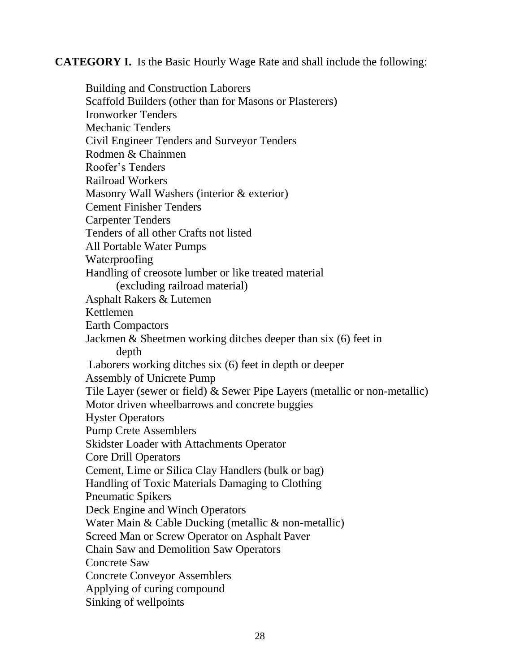**CATEGORY I.** Is the Basic Hourly Wage Rate and shall include the following:

Building and Construction Laborers Scaffold Builders (other than for Masons or Plasterers) Ironworker Tenders Mechanic Tenders Civil Engineer Tenders and Surveyor Tenders Rodmen & Chainmen Roofer's Tenders Railroad Workers Masonry Wall Washers (interior & exterior) Cement Finisher Tenders Carpenter Tenders Tenders of all other Crafts not listed All Portable Water Pumps Waterproofing Handling of creosote lumber or like treated material (excluding railroad material) Asphalt Rakers & Lutemen Kettlemen Earth Compactors Jackmen & Sheetmen working ditches deeper than six (6) feet in depth Laborers working ditches six (6) feet in depth or deeper Assembly of Unicrete Pump Tile Layer (sewer or field) & Sewer Pipe Layers (metallic or non-metallic) Motor driven wheelbarrows and concrete buggies Hyster Operators Pump Crete Assemblers Skidster Loader with Attachments Operator Core Drill Operators Cement, Lime or Silica Clay Handlers (bulk or bag) Handling of Toxic Materials Damaging to Clothing Pneumatic Spikers Deck Engine and Winch Operators Water Main & Cable Ducking (metallic & non-metallic) Screed Man or Screw Operator on Asphalt Paver Chain Saw and Demolition Saw Operators Concrete Saw Concrete Conveyor Assemblers Applying of curing compound Sinking of wellpoints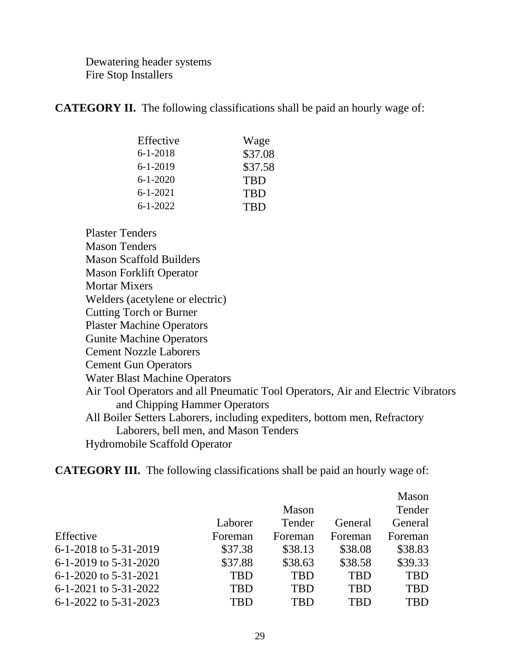Dewatering header systems Fire Stop Installers

**CATEGORY II.** The following classifications shall be paid an hourly wage of:

| Wage       |
|------------|
| \$37.08    |
| \$37.58    |
| <b>TBD</b> |
| <b>TBD</b> |
| <b>TBD</b> |
|            |

Plaster Tenders Mason Tenders Mason Scaffold Builders Mason Forklift Operator Mortar Mixers Welders (acetylene or electric) Cutting Torch or Burner Plaster Machine Operators Gunite Machine Operators Cement Nozzle Laborers Cement Gun Operators Water Blast Machine Operators Air Tool Operators and all Pneumatic Tool Operators, Air and Electric Vibrators and Chipping Hammer Operators All Boiler Setters Laborers, including expediters, bottom men, Refractory Laborers, bell men, and Mason Tenders Hydromobile Scaffold Operator

**CATEGORY III.** The following classifications shall be paid an hourly wage of:

|                           |            |            |            | Mason      |
|---------------------------|------------|------------|------------|------------|
|                           |            | Mason      |            | Tender     |
|                           | Laborer    | Tender     | General    | General    |
| Effective                 | Foreman    | Foreman    | Foreman    | Foreman    |
| 6-1-2018 to 5-31-2019     | \$37.38    | \$38.13    | \$38.08    | \$38.83    |
| 6-1-2019 to 5-31-2020     | \$37.88    | \$38.63    | \$38.58    | \$39.33    |
| 6-1-2020 to 5-31-2021     | <b>TBD</b> | <b>TBD</b> | <b>TBD</b> | <b>TBD</b> |
| $6-1-2021$ to $5-31-2022$ | <b>TBD</b> | <b>TBD</b> | <b>TBD</b> | <b>TBD</b> |
| 6-1-2022 to 5-31-2023     | TRD        | TRD        | TBD        | TBD        |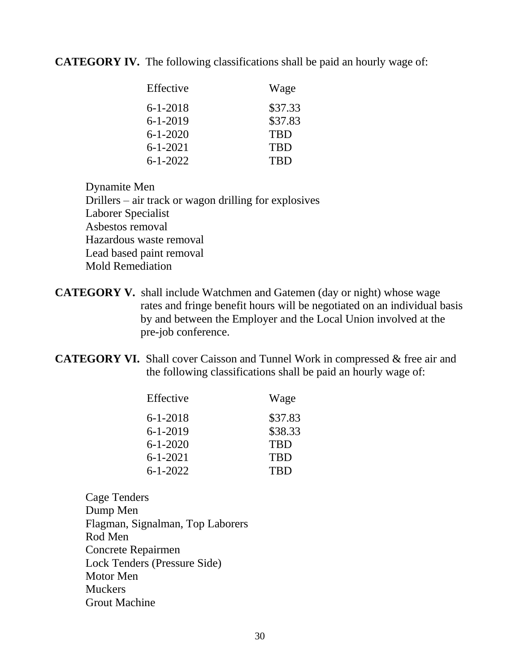**CATEGORY IV.** The following classifications shall be paid an hourly wage of:

| Effective      | Wage       |
|----------------|------------|
| $6 - 1 - 2018$ | \$37.33    |
| $6 - 1 - 2019$ | \$37.83    |
| $6 - 1 - 2020$ | TBD        |
| $6 - 1 - 2021$ | <b>TBD</b> |
| $6 - 1 - 2022$ | TBD        |

Dynamite Men Drillers – air track or wagon drilling for explosives Laborer Specialist Asbestos removal Hazardous waste removal Lead based paint removal Mold Remediation

- **CATEGORY V.** shall include Watchmen and Gatemen (day or night) whose wage rates and fringe benefit hours will be negotiated on an individual basis by and between the Employer and the Local Union involved at the pre-job conference.
- **CATEGORY VI.** Shall cover Caisson and Tunnel Work in compressed & free air and the following classifications shall be paid an hourly wage of:

| Effective      | Wage       |
|----------------|------------|
| $6 - 1 - 2018$ | \$37.83    |
| $6 - 1 - 2019$ | \$38.33    |
| $6 - 1 - 2020$ | <b>TBD</b> |
| $6 - 1 - 2021$ | <b>TBD</b> |
| $6 - 1 - 2022$ | TBD        |

Cage Tenders Dump Men Flagman, Signalman, Top Laborers Rod Men Concrete Repairmen Lock Tenders (Pressure Side) Motor Men **Muckers** Grout Machine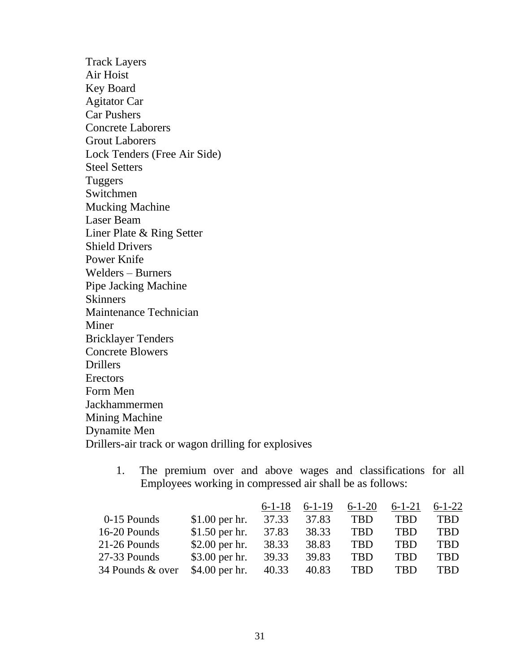Track Layers Air Hoist Key Board Agitator Car Car Pushers Concrete Laborers Grout Laborers Lock Tenders (Free Air Side) Steel Setters Tuggers Switchmen Mucking Machine Laser Beam Liner Plate & Ring Setter Shield Drivers Power Knife Welders – Burners Pipe Jacking Machine Skinners Maintenance Technician Miner Bricklayer Tenders Concrete Blowers Drillers Erectors Form Men Jackhammermen Mining Machine Dynamite Men Drillers-air track or wagon drilling for explosives

> 1. The premium over and above wages and classifications for all Employees working in compressed air shall be as follows:

|                  |                 | $6 - 1 - 18$ | $6-1-19$ | $6 - 1 - 20$ | $6 - 1 - 21$ | $6 - 1 - 22$ |
|------------------|-----------------|--------------|----------|--------------|--------------|--------------|
| 0-15 Pounds      | $$1.00$ per hr. | 37.33        | 37.83    | <b>TBD</b>   | <b>TBD</b>   | <b>TBD</b>   |
| 16-20 Pounds     | $$1.50$ per hr. | 37.83        | 38.33    | <b>TBD</b>   | <b>TBD</b>   | TBD          |
| 21-26 Pounds     | $$2.00$ per hr. | 38.33        | 38.83    | <b>TBD</b>   | <b>TBD</b>   | TBD          |
| 27-33 Pounds     | $$3.00$ per hr. | 39.33        | 39.83    | <b>TBD</b>   | <b>TBD</b>   | <b>TBD</b>   |
| 34 Pounds & over | $$4.00$ per hr. | 40.33        | 40.83    | <b>TBD</b>   | <b>TBD</b>   | TBD          |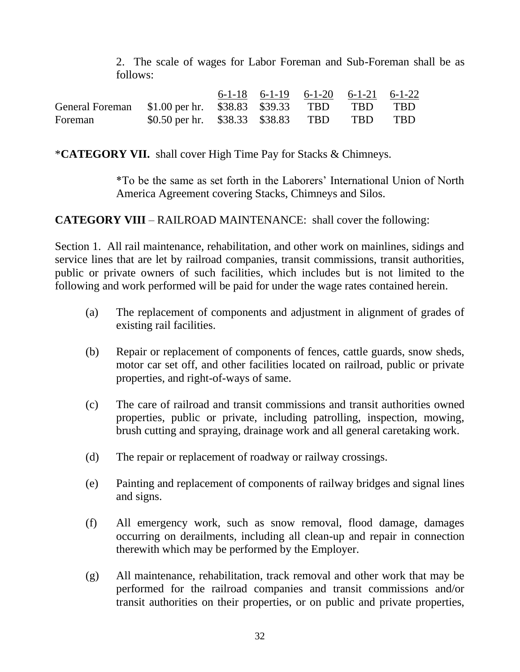2. The scale of wages for Labor Foreman and Sub-Foreman shall be as follows:

|                                                            |                                            |  | $6-1-18$ $6-1-19$ $6-1-20$ $6-1-21$ $6-1-22$ |  |
|------------------------------------------------------------|--------------------------------------------|--|----------------------------------------------|--|
| General Foreman \$1.00 per hr. \$38.83 \$39.33 TBD TBD TBD |                                            |  |                                              |  |
| Foreman                                                    | \$0.50 per hr. \$38.33 \$38.83 TBD TBD TBD |  |                                              |  |

\***CATEGORY VII.** shall cover High Time Pay for Stacks & Chimneys.

\*To be the same as set forth in the Laborers' International Union of North America Agreement covering Stacks, Chimneys and Silos.

**CATEGORY VIII** – RAILROAD MAINTENANCE: shall cover the following:

Section 1. All rail maintenance, rehabilitation, and other work on mainlines, sidings and service lines that are let by railroad companies, transit commissions, transit authorities, public or private owners of such facilities, which includes but is not limited to the following and work performed will be paid for under the wage rates contained herein.

- (a) The replacement of components and adjustment in alignment of grades of existing rail facilities.
- (b) Repair or replacement of components of fences, cattle guards, snow sheds, motor car set off, and other facilities located on railroad, public or private properties, and right-of-ways of same.
- (c) The care of railroad and transit commissions and transit authorities owned properties, public or private, including patrolling, inspection, mowing, brush cutting and spraying, drainage work and all general caretaking work.
- (d) The repair or replacement of roadway or railway crossings.
- (e) Painting and replacement of components of railway bridges and signal lines and signs.
- (f) All emergency work, such as snow removal, flood damage, damages occurring on derailments, including all clean-up and repair in connection therewith which may be performed by the Employer.
- (g) All maintenance, rehabilitation, track removal and other work that may be performed for the railroad companies and transit commissions and/or transit authorities on their properties, or on public and private properties,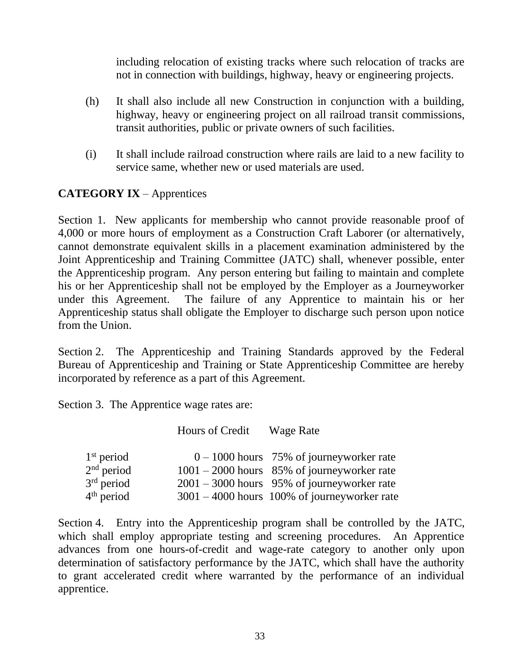including relocation of existing tracks where such relocation of tracks are not in connection with buildings, highway, heavy or engineering projects.

- (h) It shall also include all new Construction in conjunction with a building, highway, heavy or engineering project on all railroad transit commissions, transit authorities, public or private owners of such facilities.
- (i) It shall include railroad construction where rails are laid to a new facility to service same, whether new or used materials are used.

# **CATEGORY IX** – Apprentices

Section 1. New applicants for membership who cannot provide reasonable proof of 4,000 or more hours of employment as a Construction Craft Laborer (or alternatively, cannot demonstrate equivalent skills in a placement examination administered by the Joint Apprenticeship and Training Committee (JATC) shall, whenever possible, enter the Apprenticeship program. Any person entering but failing to maintain and complete his or her Apprenticeship shall not be employed by the Employer as a Journeyworker under this Agreement. The failure of any Apprentice to maintain his or her Apprenticeship status shall obligate the Employer to discharge such person upon notice from the Union.

Section 2. The Apprenticeship and Training Standards approved by the Federal Bureau of Apprenticeship and Training or State Apprenticeship Committee are hereby incorporated by reference as a part of this Agreement.

Section 3. The Apprentice wage rates are:

|              | Hours of Credit | Wage Rate                                      |
|--------------|-----------------|------------------------------------------------|
| $1st$ period |                 | $0 - 1000$ hours 75% of journeyworker rate     |
| $2nd$ period |                 | $1001 - 2000$ hours 85% of journeyworker rate  |
| $3rd$ period |                 | $2001 - 3000$ hours 95% of journeyworker rate  |
| $4th$ period |                 | $3001 - 4000$ hours 100% of journeyworker rate |

Section 4. Entry into the Apprenticeship program shall be controlled by the JATC, which shall employ appropriate testing and screening procedures. An Apprentice advances from one hours-of-credit and wage-rate category to another only upon determination of satisfactory performance by the JATC, which shall have the authority to grant accelerated credit where warranted by the performance of an individual apprentice.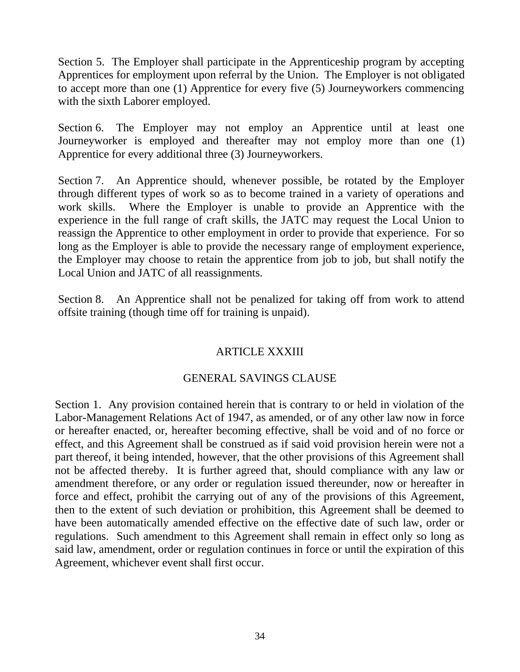Section 5. The Employer shall participate in the Apprenticeship program by accepting Apprentices for employment upon referral by the Union. The Employer is not obligated to accept more than one (1) Apprentice for every five (5) Journeyworkers commencing with the sixth Laborer employed.

Section 6. The Employer may not employ an Apprentice until at least one Journeyworker is employed and thereafter may not employ more than one (1) Apprentice for every additional three (3) Journeyworkers.

Section 7. An Apprentice should, whenever possible, be rotated by the Employer through different types of work so as to become trained in a variety of operations and work skills. Where the Employer is unable to provide an Apprentice with the experience in the full range of craft skills, the JATC may request the Local Union to reassign the Apprentice to other employment in order to provide that experience. For so long as the Employer is able to provide the necessary range of employment experience, the Employer may choose to retain the apprentice from job to job, but shall notify the Local Union and JATC of all reassignments.

Section 8. An Apprentice shall not be penalized for taking off from work to attend offsite training (though time off for training is unpaid).

# ARTICLE XXXIII

# GENERAL SAVINGS CLAUSE

Section 1. Any provision contained herein that is contrary to or held in violation of the Labor-Management Relations Act of 1947, as amended, or of any other law now in force or hereafter enacted, or, hereafter becoming effective, shall be void and of no force or effect, and this Agreement shall be construed as if said void provision herein were not a part thereof, it being intended, however, that the other provisions of this Agreement shall not be affected thereby. It is further agreed that, should compliance with any law or amendment therefore, or any order or regulation issued thereunder, now or hereafter in force and effect, prohibit the carrying out of any of the provisions of this Agreement, then to the extent of such deviation or prohibition, this Agreement shall be deemed to have been automatically amended effective on the effective date of such law, order or regulations. Such amendment to this Agreement shall remain in effect only so long as said law, amendment, order or regulation continues in force or until the expiration of this Agreement, whichever event shall first occur.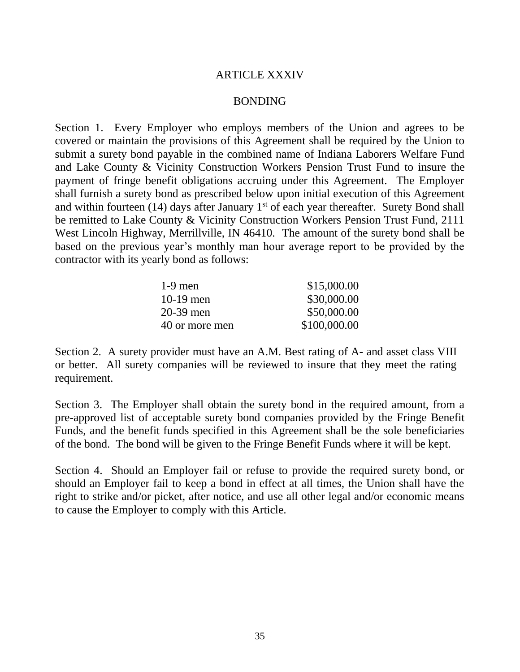## ARTICLE XXXIV

## BONDING

Section 1. Every Employer who employs members of the Union and agrees to be covered or maintain the provisions of this Agreement shall be required by the Union to submit a surety bond payable in the combined name of Indiana Laborers Welfare Fund and Lake County & Vicinity Construction Workers Pension Trust Fund to insure the payment of fringe benefit obligations accruing under this Agreement. The Employer shall furnish a surety bond as prescribed below upon initial execution of this Agreement and within fourteen (14) days after January  $1<sup>st</sup>$  of each year thereafter. Surety Bond shall be remitted to Lake County & Vicinity Construction Workers Pension Trust Fund, 2111 West Lincoln Highway, Merrillville, IN 46410. The amount of the surety bond shall be based on the previous year's monthly man hour average report to be provided by the contractor with its yearly bond as follows:

| \$15,000.00  |
|--------------|
| \$30,000.00  |
| \$50,000.00  |
| \$100,000.00 |
|              |

Section 2. A surety provider must have an A.M. Best rating of A- and asset class VIII or better. All surety companies will be reviewed to insure that they meet the rating requirement.

Section 3. The Employer shall obtain the surety bond in the required amount, from a pre-approved list of acceptable surety bond companies provided by the Fringe Benefit Funds, and the benefit funds specified in this Agreement shall be the sole beneficiaries of the bond. The bond will be given to the Fringe Benefit Funds where it will be kept.

Section 4. Should an Employer fail or refuse to provide the required surety bond, or should an Employer fail to keep a bond in effect at all times, the Union shall have the right to strike and/or picket, after notice, and use all other legal and/or economic means to cause the Employer to comply with this Article.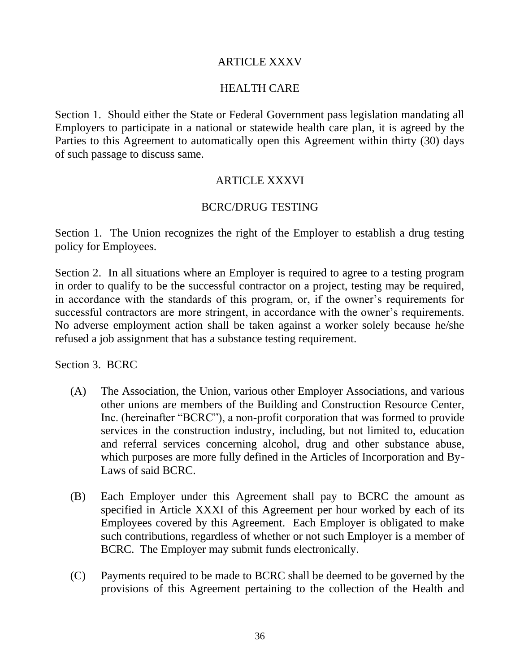## ARTICLE XXXV

## HEALTH CARE

Section 1. Should either the State or Federal Government pass legislation mandating all Employers to participate in a national or statewide health care plan, it is agreed by the Parties to this Agreement to automatically open this Agreement within thirty (30) days of such passage to discuss same.

## ARTICLE XXXVI

## BCRC/DRUG TESTING

Section 1. The Union recognizes the right of the Employer to establish a drug testing policy for Employees.

Section 2. In all situations where an Employer is required to agree to a testing program in order to qualify to be the successful contractor on a project, testing may be required, in accordance with the standards of this program, or, if the owner's requirements for successful contractors are more stringent, in accordance with the owner's requirements. No adverse employment action shall be taken against a worker solely because he/she refused a job assignment that has a substance testing requirement.

Section 3. BCRC

- (A) The Association, the Union, various other Employer Associations, and various other unions are members of the Building and Construction Resource Center, Inc. (hereinafter "BCRC"), a non-profit corporation that was formed to provide services in the construction industry, including, but not limited to, education and referral services concerning alcohol, drug and other substance abuse, which purposes are more fully defined in the Articles of Incorporation and By-Laws of said BCRC.
- (B) Each Employer under this Agreement shall pay to BCRC the amount as specified in Article XXXI of this Agreement per hour worked by each of its Employees covered by this Agreement. Each Employer is obligated to make such contributions, regardless of whether or not such Employer is a member of BCRC. The Employer may submit funds electronically.
- (C) Payments required to be made to BCRC shall be deemed to be governed by the provisions of this Agreement pertaining to the collection of the Health and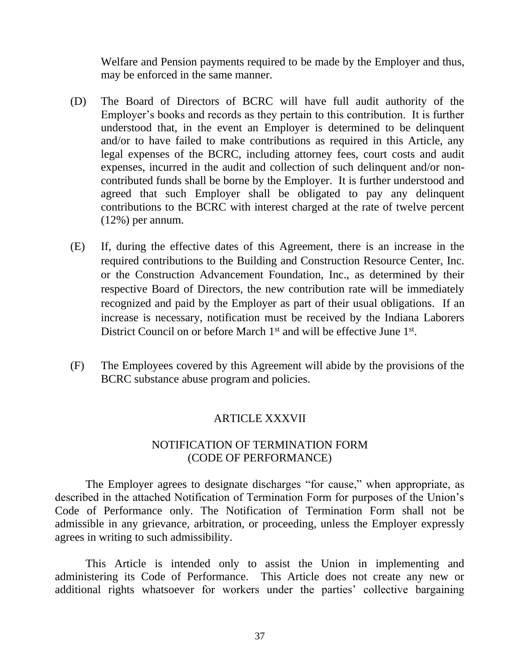Welfare and Pension payments required to be made by the Employer and thus, may be enforced in the same manner.

- (D) The Board of Directors of BCRC will have full audit authority of the Employer's books and records as they pertain to this contribution. It is further understood that, in the event an Employer is determined to be delinquent and/or to have failed to make contributions as required in this Article, any legal expenses of the BCRC, including attorney fees, court costs and audit expenses, incurred in the audit and collection of such delinquent and/or noncontributed funds shall be borne by the Employer. It is further understood and agreed that such Employer shall be obligated to pay any delinquent contributions to the BCRC with interest charged at the rate of twelve percent (12%) per annum.
- (E) If, during the effective dates of this Agreement, there is an increase in the required contributions to the Building and Construction Resource Center, Inc. or the Construction Advancement Foundation, Inc., as determined by their respective Board of Directors, the new contribution rate will be immediately recognized and paid by the Employer as part of their usual obligations. If an increase is necessary, notification must be received by the Indiana Laborers District Council on or before March 1<sup>st</sup> and will be effective June 1<sup>st</sup>.
- (F) The Employees covered by this Agreement will abide by the provisions of the BCRC substance abuse program and policies.

## ARTICLE XXXVII

# NOTIFICATION OF TERMINATION FORM (CODE OF PERFORMANCE)

The Employer agrees to designate discharges "for cause," when appropriate, as described in the attached Notification of Termination Form for purposes of the Union's Code of Performance only. The Notification of Termination Form shall not be admissible in any grievance, arbitration, or proceeding, unless the Employer expressly agrees in writing to such admissibility.

This Article is intended only to assist the Union in implementing and administering its Code of Performance. This Article does not create any new or additional rights whatsoever for workers under the parties' collective bargaining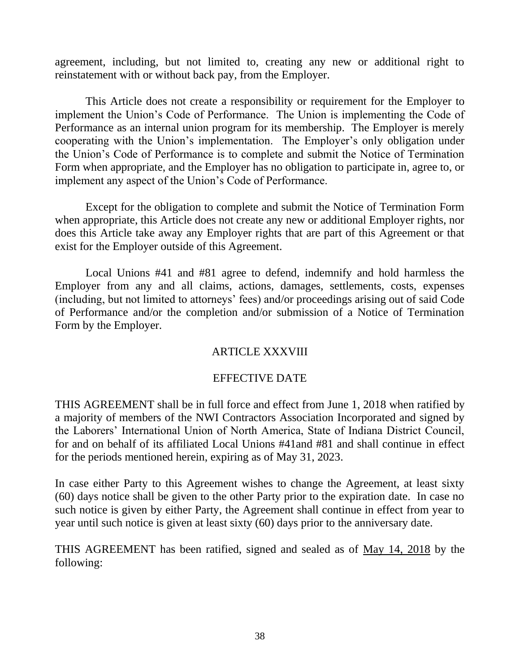agreement, including, but not limited to, creating any new or additional right to reinstatement with or without back pay, from the Employer.

This Article does not create a responsibility or requirement for the Employer to implement the Union's Code of Performance. The Union is implementing the Code of Performance as an internal union program for its membership. The Employer is merely cooperating with the Union's implementation. The Employer's only obligation under the Union's Code of Performance is to complete and submit the Notice of Termination Form when appropriate, and the Employer has no obligation to participate in, agree to, or implement any aspect of the Union's Code of Performance.

Except for the obligation to complete and submit the Notice of Termination Form when appropriate, this Article does not create any new or additional Employer rights, nor does this Article take away any Employer rights that are part of this Agreement or that exist for the Employer outside of this Agreement.

Local Unions #41 and #81 agree to defend, indemnify and hold harmless the Employer from any and all claims, actions, damages, settlements, costs, expenses (including, but not limited to attorneys' fees) and/or proceedings arising out of said Code of Performance and/or the completion and/or submission of a Notice of Termination Form by the Employer.

# ARTICLE XXXVIII

## EFFECTIVE DATE

THIS AGREEMENT shall be in full force and effect from June 1, 2018 when ratified by a majority of members of the NWI Contractors Association Incorporated and signed by the Laborers' International Union of North America, State of Indiana District Council, for and on behalf of its affiliated Local Unions #41and #81 and shall continue in effect for the periods mentioned herein, expiring as of May 31, 2023.

In case either Party to this Agreement wishes to change the Agreement, at least sixty (60) days notice shall be given to the other Party prior to the expiration date. In case no such notice is given by either Party, the Agreement shall continue in effect from year to year until such notice is given at least sixty (60) days prior to the anniversary date.

THIS AGREEMENT has been ratified, signed and sealed as of May 14, 2018 by the following: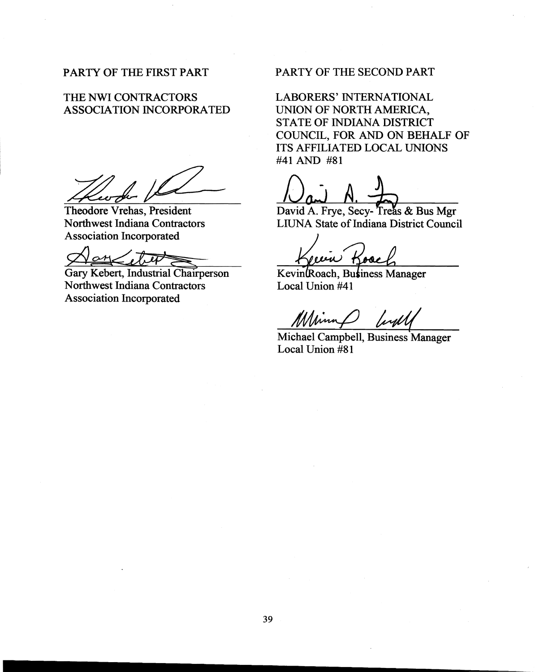### PARTY OF THE FIRST PART

### THE NWI CONTRACTORS ASSOCIATION INCORPORATED

Theodore Vrehas, President Northwest Indiana Contractors Association Incorporated

 $\mathcal{P}$  empty  $\mathcal{P}$ 

Gary Kebert, Industrial Chairperson Northwest Indiana Contractors Association Incorporated

## PARTY OF THE SECOND PART

LABORERS' INTERNATIONAL UNION OF NORTH AMERICA, STATE OF INDIANA DISTRICT COUNCIL, FOR AND ON BEHALF OF ITS AFFILIATED LOCAL UNIONS #41 AND #81

David A. Frye, Secy-Treas & Bus Mgr LIUNA State of Indiana District Council

o essa )

Kevinkoach, Business Manager Local Union #41

Michael Campbell, Business Manager Local Union #81

**.......................--------------------**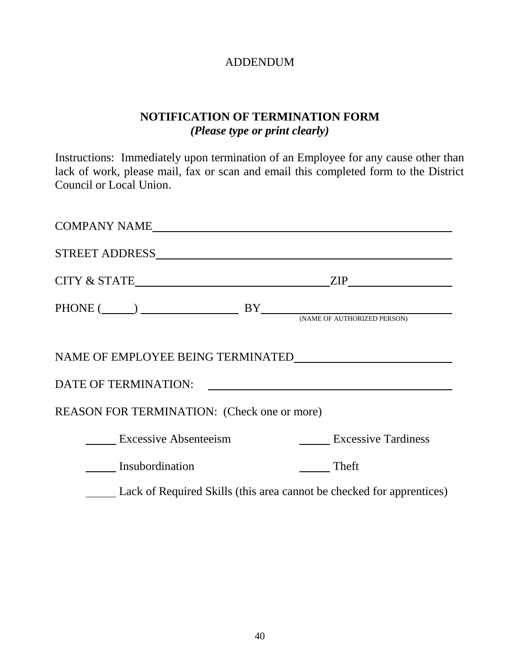# ADDENDUM

# **NOTIFICATION OF TERMINATION FORM** *(Please type or print clearly)*

Instructions: Immediately upon termination of an Employee for any cause other than lack of work, please mail, fax or scan and email this completed form to the District Council or Local Union.

| COMPANY NAME                                |                                                                                                                                                                |
|---------------------------------------------|----------------------------------------------------------------------------------------------------------------------------------------------------------------|
|                                             |                                                                                                                                                                |
|                                             | $\mathsf{ZIP}\_$                                                                                                                                               |
|                                             | $\text{PHONE} \; (\underline{\hspace{1cm}}) \; \underline{\hspace{1cm}} \text{BY} \underline{\hspace{1cm}} \text{(\textit{NAME of outputed} \textit{PERSON})}$ |
|                                             |                                                                                                                                                                |
|                                             | DATE OF TERMINATION:                                                                                                                                           |
| REASON FOR TERMINATION: (Check one or more) |                                                                                                                                                                |
| <b>Excessive Absenteeism</b>                | <b>Excessive Tardiness</b>                                                                                                                                     |
| Insubordination                             | Theft                                                                                                                                                          |
|                                             | Lack of Required Skills (this area cannot be checked for apprentices)                                                                                          |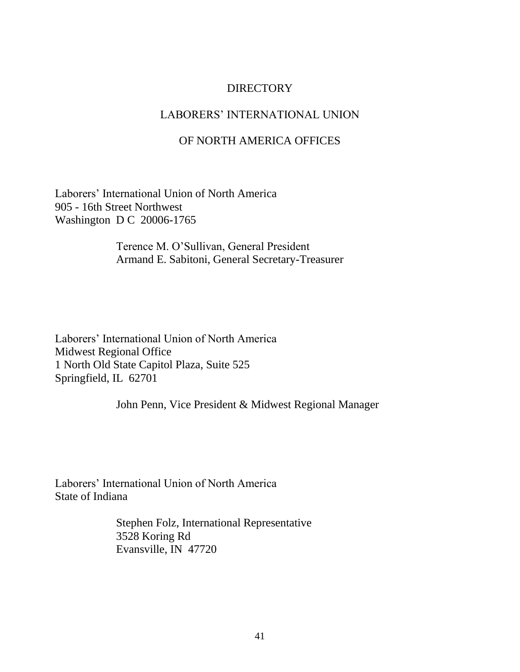## DIRECTORY

## LABORERS' INTERNATIONAL UNION

## OF NORTH AMERICA OFFICES

Laborers' International Union of North America 905 - 16th Street Northwest Washington D C 20006-1765

> Terence M. O'Sullivan, General President Armand E. Sabitoni, General Secretary-Treasurer

Laborers' International Union of North America Midwest Regional Office 1 North Old State Capitol Plaza, Suite 525 Springfield, IL 62701

John Penn, Vice President & Midwest Regional Manager

Laborers' International Union of North America State of Indiana

> Stephen Folz, International Representative 3528 Koring Rd Evansville, IN 47720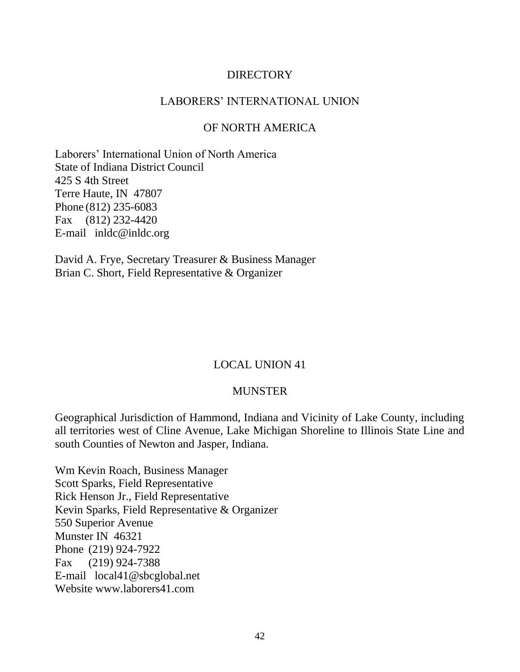## **DIRECTORY**

### LABORERS' INTERNATIONAL UNION

### OF NORTH AMERICA

Laborers' International Union of North America State of Indiana District Council 425 S 4th Street Terre Haute, IN 47807 Phone (812) 235-6083 Fax (812) 232-4420 E-mail inldc@inldc.org

David A. Frye, Secretary Treasurer & Business Manager Brian C. Short, Field Representative & Organizer

## LOCAL UNION 41

### MUNSTER

Geographical Jurisdiction of Hammond, Indiana and Vicinity of Lake County, including all territories west of Cline Avenue, Lake Michigan Shoreline to Illinois State Line and south Counties of Newton and Jasper, Indiana.

Wm Kevin Roach, Business Manager Scott Sparks, Field Representative Rick Henson Jr., Field Representative Kevin Sparks, Field Representative & Organizer 550 Superior Avenue Munster IN 46321 Phone (219) 924-7922 Fax (219) 924-7388 E-mail local41@sbcglobal.net Website www.laborers41.com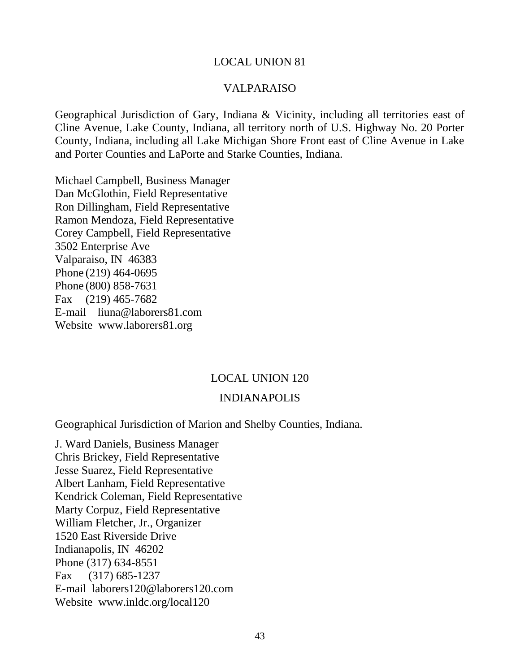### VALPARAISO

Geographical Jurisdiction of Gary, Indiana & Vicinity, including all territories east of Cline Avenue, Lake County, Indiana, all territory north of U.S. Highway No. 20 Porter County, Indiana, including all Lake Michigan Shore Front east of Cline Avenue in Lake and Porter Counties and LaPorte and Starke Counties, Indiana.

Michael Campbell, Business Manager Dan McGlothin, Field Representative Ron Dillingham, Field Representative Ramon Mendoza, Field Representative Corey Campbell, Field Representative 3502 Enterprise Ave Valparaiso, IN 46383 Phone (219) 464-0695 Phone (800) 858-7631 Fax (219) 465-7682 E-mail liuna@laborers81.com Website www.laborers81.org

### LOCAL UNION 120

### INDIANAPOLIS

Geographical Jurisdiction of Marion and Shelby Counties, Indiana.

J. Ward Daniels, Business Manager Chris Brickey, Field Representative Jesse Suarez, Field Representative Albert Lanham, Field Representative Kendrick Coleman, Field Representative Marty Corpuz, Field Representative William Fletcher, Jr., Organizer 1520 East Riverside Drive Indianapolis, IN 46202 Phone (317) 634-8551 Fax (317) 685-1237 E-mail laborers120@laborers120.com Website www.inldc.org/local120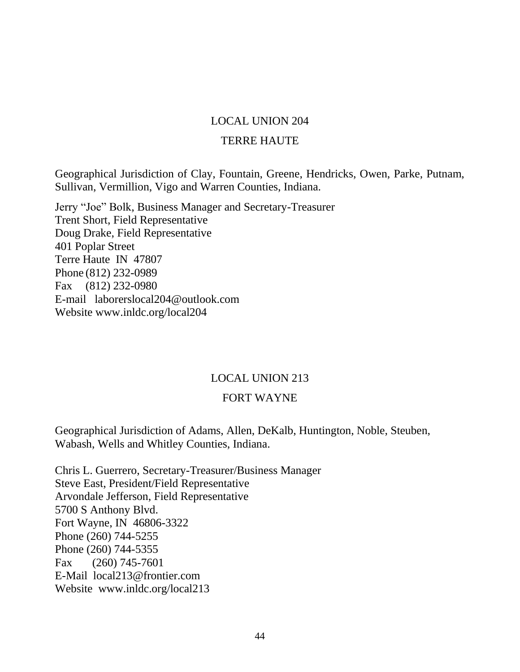## TERRE HAUTE

Geographical Jurisdiction of Clay, Fountain, Greene, Hendricks, Owen, Parke, Putnam, Sullivan, Vermillion, Vigo and Warren Counties, Indiana.

Jerry "Joe" Bolk, Business Manager and Secretary-Treasurer Trent Short, Field Representative Doug Drake, Field Representative 401 Poplar Street Terre Haute IN 47807 Phone (812) 232-0989 Fax (812) 232-0980 E-mail laborerslocal204@outlook.com Website www.inldc.org/local204

## LOCAL UNION 213

## FORT WAYNE

Geographical Jurisdiction of Adams, Allen, DeKalb, Huntington, Noble, Steuben, Wabash, Wells and Whitley Counties, Indiana.

Chris L. Guerrero, Secretary-Treasurer/Business Manager Steve East, President/Field Representative Arvondale Jefferson, Field Representative 5700 S Anthony Blvd. Fort Wayne, IN 46806-3322 Phone (260) 744-5255 Phone (260) 744-5355 Fax (260) 745-7601 E-Mail local213@frontier.com Website www.inldc.org/local213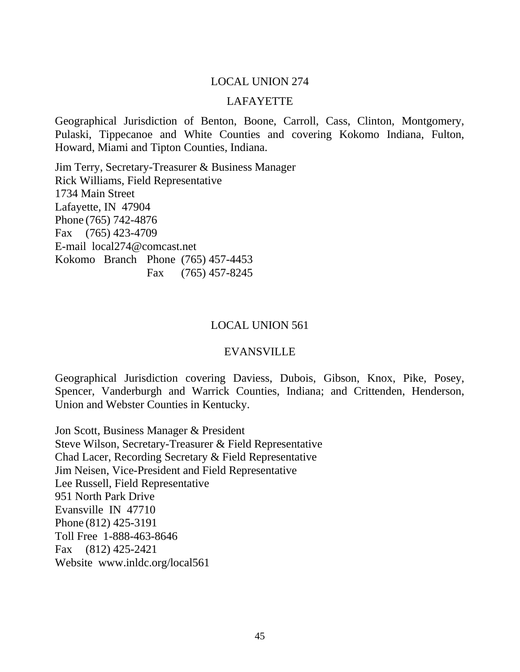### LAFAYETTE

Geographical Jurisdiction of Benton, Boone, Carroll, Cass, Clinton, Montgomery, Pulaski, Tippecanoe and White Counties and covering Kokomo Indiana, Fulton, Howard, Miami and Tipton Counties, Indiana.

Jim Terry, Secretary-Treasurer & Business Manager Rick Williams, Field Representative 1734 Main Street Lafayette, IN 47904 Phone (765) 742-4876 Fax (765) 423-4709 E-mail local274@comcast.net Kokomo Branch Phone (765) 457-4453 Fax (765) 457-8245

#### LOCAL UNION 561

### EVANSVILLE

Geographical Jurisdiction covering Daviess, Dubois, Gibson, Knox, Pike, Posey, Spencer, Vanderburgh and Warrick Counties, Indiana; and Crittenden, Henderson, Union and Webster Counties in Kentucky.

Jon Scott, Business Manager & President Steve Wilson, Secretary-Treasurer & Field Representative Chad Lacer, Recording Secretary & Field Representative Jim Neisen, Vice-President and Field Representative Lee Russell, Field Representative 951 North Park Drive Evansville IN 47710 Phone (812) 425-3191 Toll Free 1-888-463-8646 Fax (812) 425-2421 Website www.inldc.org/local561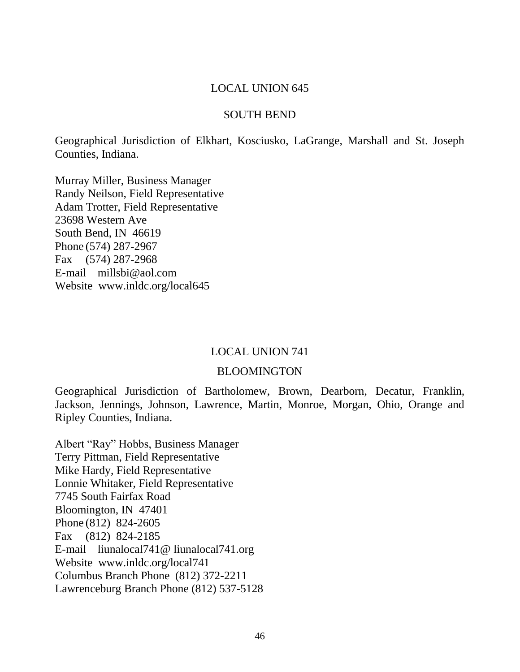### SOUTH BEND

Geographical Jurisdiction of Elkhart, Kosciusko, LaGrange, Marshall and St. Joseph Counties, Indiana.

Murray Miller, Business Manager Randy Neilson, Field Representative Adam Trotter, Field Representative 23698 Western Ave South Bend, IN 46619 Phone (574) 287-2967 Fax (574) 287-2968 E-mail millsbi@aol.com Website www.inldc.org/local645

### LOCAL UNION 741

### BLOOMINGTON

Geographical Jurisdiction of Bartholomew, Brown, Dearborn, Decatur, Franklin, Jackson, Jennings, Johnson, Lawrence, Martin, Monroe, Morgan, Ohio, Orange and Ripley Counties, Indiana.

Albert "Ray" Hobbs, Business Manager Terry Pittman, Field Representative Mike Hardy, Field Representative Lonnie Whitaker, Field Representative 7745 South Fairfax Road Bloomington, IN 47401 Phone (812) 824-2605 Fax (812) 824-2185 E-mail liunalocal741@ liunalocal741.org Website www.inldc.org/local741 Columbus Branch Phone (812) 372-2211 Lawrenceburg Branch Phone (812) 537-5128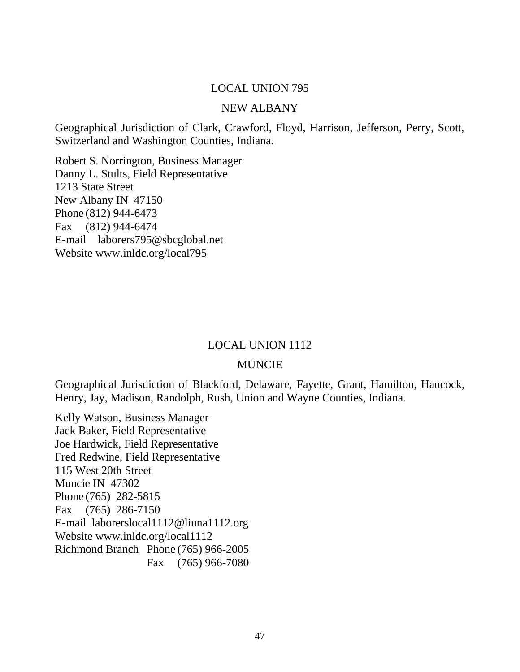### NEW ALBANY

Geographical Jurisdiction of Clark, Crawford, Floyd, Harrison, Jefferson, Perry, Scott, Switzerland and Washington Counties, Indiana.

Robert S. Norrington, Business Manager Danny L. Stults, Field Representative 1213 State Street New Albany IN 47150 Phone (812) 944-6473 Fax (812) 944-6474 E-mail laborers795@sbcglobal.net Website www.inldc.org/local795

### LOCAL UNION 1112

### MUNCIE

Geographical Jurisdiction of Blackford, Delaware, Fayette, Grant, Hamilton, Hancock, Henry, Jay, Madison, Randolph, Rush, Union and Wayne Counties, Indiana.

Kelly Watson, Business Manager Jack Baker, Field Representative Joe Hardwick, Field Representative Fred Redwine, Field Representative 115 West 20th Street Muncie IN 47302 Phone (765) 282-5815 Fax (765) 286-7150 E-mail laborerslocal1112@liuna1112.org Website www.inldc.org/local1112 Richmond Branch Phone (765) 966-2005 Fax (765) 966-7080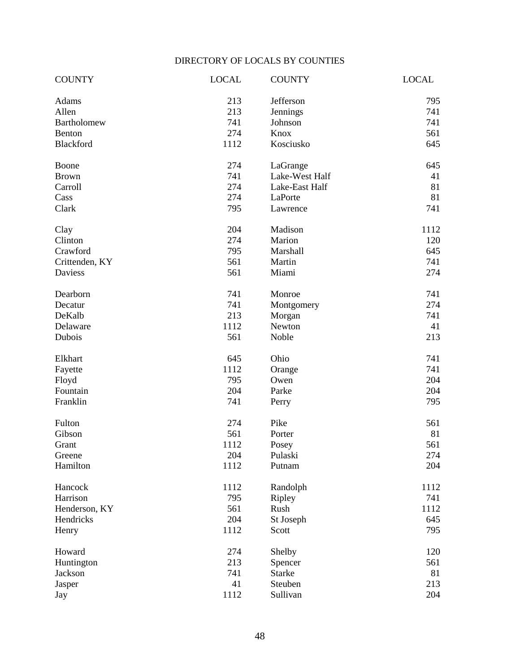## DIRECTORY OF LOCALS BY COUNTIES

| <b>COUNTY</b>      | <b>LOCAL</b> | <b>COUNTY</b>  | <b>LOCAL</b> |
|--------------------|--------------|----------------|--------------|
| Adams              | 213          | Jefferson      | 795          |
| Allen              | 213          | Jennings       | 741          |
| <b>Bartholomew</b> | 741          | Johnson        | 741          |
| Benton             | 274          | Knox           | 561          |
| Blackford          | 1112         | Kosciusko      | 645          |
| Boone              | 274          | LaGrange       | 645          |
| <b>Brown</b>       | 741          | Lake-West Half | 41           |
| Carroll            | 274          | Lake-East Half | 81           |
| Cass               | 274          | LaPorte        | 81           |
| Clark              | 795          | Lawrence       | 741          |
| Clay               | 204          | Madison        | 1112         |
| Clinton            | 274          | Marion         | 120          |
| Crawford           | 795          | Marshall       | 645          |
| Crittenden, KY     | 561          | Martin         | 741          |
| Daviess            | 561          | Miami          | 274          |
| Dearborn           | 741          | Monroe         | 741          |
| Decatur            | 741          | Montgomery     | 274          |
| DeKalb             | 213          | Morgan         | 741          |
| Delaware           | 1112         | Newton         | 41           |
| Dubois             | 561          | Noble          | 213          |
| Elkhart            | 645          | Ohio           | 741          |
| Fayette            | 1112         | Orange         | 741          |
| Floyd              | 795          | Owen           | 204          |
| Fountain           | 204          | Parke          | 204          |
| Franklin           | 741          | Perry          | 795          |
| Fulton             | 274          | Pike           | 561          |
| Gibson             | 561          | Porter         | 81           |
| Grant              | 1112         | Posey          | 561          |
| Greene             | 204          | Pulaski        | 274          |
| Hamilton           | 1112         | Putnam         | 204          |
| Hancock            | 1112         | Randolph       | 1112         |
| Harrison           | 795          | Ripley         | 741          |
| Henderson, KY      | 561          | Rush           | 1112         |
| Hendricks          | 204          | St Joseph      | 645          |
| Henry              | 1112         | Scott          | 795          |
| Howard             | 274          | Shelby         | 120          |
| Huntington         | 213          | Spencer        | 561          |
| Jackson            | 741          | <b>Starke</b>  | 81           |
| Jasper             | 41           | Steuben        | 213          |
| Jay                | 1112         | Sullivan       | 204          |